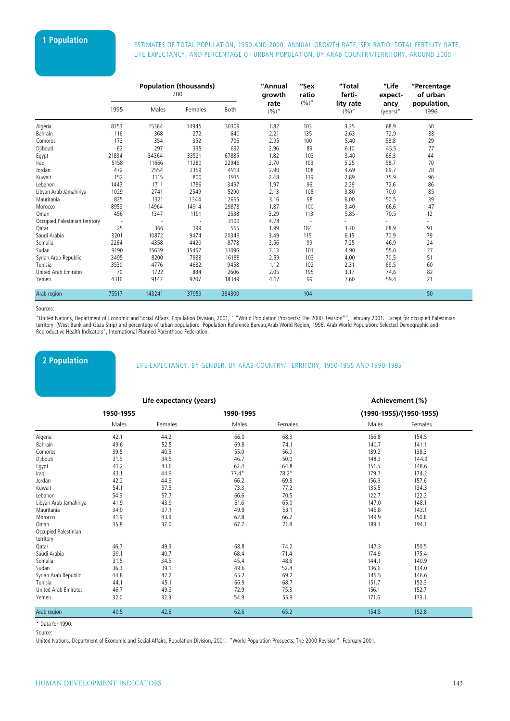# **1 Population** ESTIMATES OF TOTAL POPULATION, 1950 AND 2000, ANNUAL GROWTH RATE, SEX RATIO, TOTAL FERTILITY RATE, LIFE EXPECTANCY, AND PERCENTAGE OF URBAN POPULATION, BY ARAB COUNTRY/TERRITORY, AROUND 2000

|                                | <b>Population (thousands)</b><br>200 |        |         | "Annual<br>growth | "Sex<br>"Total<br>ratio<br>ferti-<br>$(%)^{''}$<br>lity rate | "Life<br>expect-         | "Percentage<br>of urban<br>population, |                  |      |  |
|--------------------------------|--------------------------------------|--------|---------|-------------------|--------------------------------------------------------------|--------------------------|----------------------------------------|------------------|------|--|
|                                | 1995                                 | Males  | Females | Both              | rate<br>$(%)^{''}$                                           |                          | (9/0)'                                 | ancy<br>(years)" | 1996 |  |
| Algeria                        | 8753                                 | 15364  | 14945   | 30309             | 1.82                                                         | 103                      | 3.25                                   | 68.9             | 50   |  |
| Bahrain                        | 116                                  | 368    | 272     | 640               | 2.21                                                         | 135                      | 2.63                                   | 72.9             | 88   |  |
| Comoros                        | 173                                  | 354    | 352     | 706               | 2.95                                                         | 100                      | 5.40                                   | 58.8             | 29   |  |
| Djibouti                       | 62                                   | 297    | 335     | 632               | 2.96                                                         | 89                       | 6.10                                   | 45.5             | 77   |  |
| Egypt                          | 21834                                | 34364  | 33521   | 67885             | 1.82                                                         | 103                      | 3.40                                   | 66.3             | 44   |  |
| Iraq                           | 5158                                 | 11666  | 11280   | 22946             | 2.70                                                         | 103                      | 5.25                                   | 58.7             | 70   |  |
| Jordan                         | 472                                  | 2554   | 2359    | 4913              | 2.90                                                         | 108                      | 4.69                                   | 69.7             | 78   |  |
| Kuwait                         | 152                                  | 1115   | 800     | 1915              | 2.48                                                         | 139                      | 2.89                                   | 75.9             | 96   |  |
| Lebanon                        | 1443                                 | 1711   | 1786    | 3497              | 1.97                                                         | 96                       | 2.29                                   | 72.6             | 86   |  |
| Libyan Arab Jamahiriya         | 1029                                 | 2741   | 2549    | 5290              | 2.13                                                         | 108                      | 3.80                                   | 70.0             | 85   |  |
| Mauritania                     | 825                                  | 1321   | 1344    | 2665              | 3.16                                                         | 98                       | 6.00                                   | 50.5             | 39   |  |
| Morocco                        | 8953                                 | 14964  | 14914   | 29878             | 1.87                                                         | 100                      | 3.40                                   | 66.6             | 47   |  |
| Oman                           | 456                                  | 1347   | 1191    | 2538              | 3.29                                                         | 113                      | 5.85                                   | 70.5             | 12   |  |
| Occupied Palestinian territory |                                      |        | ٠.      | 3100              | 4.78                                                         | $\overline{\phantom{a}}$ |                                        |                  | ÷,   |  |
| Qatar                          | 25                                   | 366    | 199     | 565               | 1.99                                                         | 184                      | 3.70                                   | 68.9             | 91   |  |
| Saudi Arabia                   | 3201                                 | 10872  | 9474    | 20346             | 3.49                                                         | 115                      | 6.15                                   | 70.9             | 79   |  |
| Somalia                        | 2264                                 | 4358   | 4420    | 8778              | 3.56                                                         | 99                       | 7.25                                   | 46.9             | 24   |  |
| Sudan                          | 9190                                 | 15639  | 15457   | 31096             | 2.13                                                         | 101                      | 4.90                                   | 55.0             | 27   |  |
| Syrian Arab Republic           | 3495                                 | 8200   | 7988    | 16188             | 2.59                                                         | 103                      | 4.00                                   | 70.5             | 51   |  |
| Tunisia                        | 3530                                 | 4776   | 4682    | 9458              | 1.12                                                         | 102                      | 2.31                                   | 69.5             | 60   |  |
| <b>United Arab Emirates</b>    | 70                                   | 1722   | 884     | 2606              | 2.05                                                         | 195                      | 3.17                                   | 74.6             | 82   |  |
| Yemen                          | 4316                                 | 9142   | 9207    | 18349             | 4.17                                                         | 99                       | 7.60                                   | 59.4             | 23   |  |
| Arab region                    | 75517                                | 143241 | 137959  | 284300            |                                                              | 104                      |                                        |                  | 50   |  |

#### Sources:

"United Nations, Department of Economic and Social Affairs, Population Division, 2001, " "World Population Prospects: The 2000 Revision"", February 2001. Except for occupied Palestinian territory (West Bank and Gaza Strip) and percentage of urban population: Population Reference Bureau,Arab World Region, 1996. Arab World Population: Selected Demographic and Reproductive Health Indicators", International Planned Parenthood Federation.

### **2 Population**

LIFE EXPECTANCY, BY GENDER, BY ARAB COUNTRY/ TERRITORY, 1950-1955 AND 1990-1995"

#### **Life expectancy (years) Achievement (%)**

|                        | 1950-1955 |         | 1990-1995 |         |       | (1990-1955)/(1950-1955) |  |
|------------------------|-----------|---------|-----------|---------|-------|-------------------------|--|
|                        | Males     | Females | Males     | Females | Males | Females                 |  |
| Algeria                | 42.1      | 44.2    | 66.0      | 68.3    | 156.8 | 154.5                   |  |
| Bahrain                | 49.6      | 52.5    | 69.8      | 74.1    | 140.7 | 141.1                   |  |
| Comoros                | 39.5      | 40.5    | 55.0      | 56.0    | 139.2 | 138.3                   |  |
| Djibouti               | 31.5      | 34.5    | 46.7      | 50.0    | 148.3 | 144.9                   |  |
| Egypt                  | 41.2      | 43.6    | 62.4      | 64.8    | 151.5 | 148.6                   |  |
| Iraq                   | 43.1      | 44.9    | $77.4*$   | $78.2*$ | 179.7 | 174.2                   |  |
| Jordan                 | 42.2      | 44.3    | 66.2      | 69.8    | 156.9 | 157.6                   |  |
| Kuwait                 | 54.1      | 57.5    | 73.3      | 77.2    | 135.5 | 134.3                   |  |
| Lebanon                | 54.3      | 57.7    | 66.6      | 70.5    | 122.7 | 122.2                   |  |
| Libyan Arab Jamahiriya | 41.9      | 43.9    | 61.6      | 65.0    | 147.0 | 148.1                   |  |
| Mauritania             | 34.0      | 37.1    | 49.9      | 53.1    | 146.8 | 143.1                   |  |
| Morocco                | 41.9      | 43.9    | 62.8      | 66.2    | 149.9 | 150.8                   |  |
| Oman                   | 35.8      | 37.0    | 67.7      | 71.8    | 189.1 | 194.1                   |  |
| Occupied Palestinian   |           |         |           |         |       |                         |  |
| territory              |           |         |           |         |       |                         |  |
| Qatar                  | 46.7      | 49.3    | 68.8      | 74.2    | 147.3 | 150.5                   |  |
| Saudi Arabia           | 39.1      | 40.7    | 68.4      | 71.4    | 174.9 | 175.4                   |  |
| Somalia                | 31.5      | 34.5    | 45.4      | 48.6    | 144.1 | 140.9                   |  |
| Sudan                  | 36.3      | 39.1    | 49.6      | 52.4    | 136.6 | 134.0                   |  |
| Syrian Arab Republic   | 44.8      | 47.2    | 65.2      | 69.2    | 145.5 | 146.6                   |  |
| Tunisia                | 44.1      | 45.1    | 66.9      | 68.7    | 151.7 | 152.3                   |  |
| United Arab Emirates   | 46.7      | 49.3    | 72.9      | 75.3    | 156.1 | 152.7                   |  |
| Yemen                  | 32.0      | 32.3    | 54.9      | 55.9    | 171.6 | 173.1                   |  |
| Arab region            | 40.5      | 42.6    | 62.6      | 65.2    | 154.5 | 152.8                   |  |
|                        |           |         |           |         |       |                         |  |

 $*$  Data for 1990.

Source:

United Nations, Department of Economic and Social Affairs, Population Division, 2001. "World Population Prospects: The 2000 Revision", February 2001.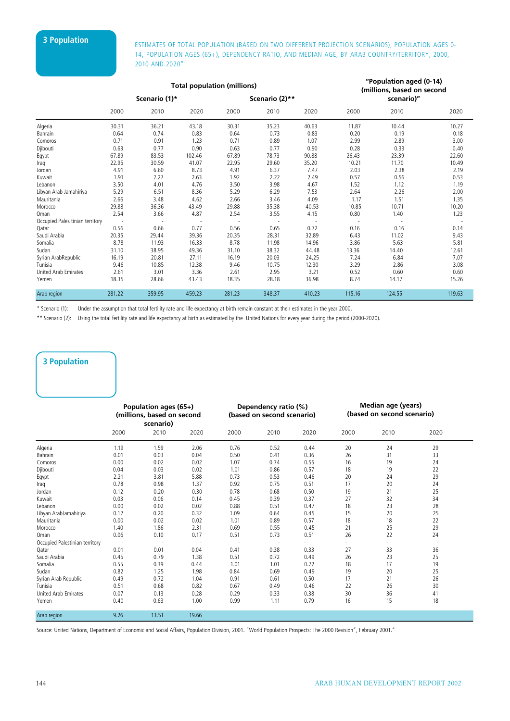### **3 Population** ESTIMATES OF TOTAL POPULATION (BASED ON TWO DIFFERENT PROJECTION SCENARIOS), POPULATION AGES 0-14, POPULATION AGES (65+), DEPENDENCY RATIO, AND MEDIAN AGE, BY ARAB COUNTRY/TERRITORY, 2000, 2010 AND 2020"

|                                 |               |        | <b>Total population (millions)</b> | "Population aged (0-14)<br>(millions, based on second |                |        |        |            |        |  |
|---------------------------------|---------------|--------|------------------------------------|-------------------------------------------------------|----------------|--------|--------|------------|--------|--|
|                                 | Scenario (1)* |        |                                    |                                                       | Scenario (2)** |        |        | scenario)" |        |  |
|                                 | 2000          | 2010   | 2020                               | 2000                                                  | 2010           | 2020   | 2000   | 2010       | 2020   |  |
| Algeria                         | 30.31         | 36.21  | 43.18                              | 30.31                                                 | 35.23          | 40.63  | 11.87  | 10.44      | 10.27  |  |
| Bahrain                         | 0.64          | 0.74   | 0.83                               | 0.64                                                  | 0.73           | 0.83   | 0.20   | 0.19       | 0.18   |  |
| Comoros                         | 0.71          | 0.91   | 1.23                               | 0.71                                                  | 0.89           | 1.07   | 2.99   | 2.89       | 3.00   |  |
| Djibouti                        | 0.63          | 0.77   | 0.90                               | 0.63                                                  | 0.77           | 0.90   | 0.28   | 0.33       | 0.40   |  |
| Egypt                           | 67.89         | 83.53  | 102.46                             | 67.89                                                 | 78.73          | 90.88  | 26.43  | 23.39      | 22.60  |  |
| Iraq                            | 22.95         | 30.59  | 41.07                              | 22.95                                                 | 29.60          | 35.20  | 10.21  | 11.70      | 10.49  |  |
| Jordan                          | 4.91          | 6.60   | 8.73                               | 4.91                                                  | 6.37           | 7.47   | 2.03   | 2.38       | 2.19   |  |
| Kuwait                          | 1.91          | 2.27   | 2.63                               | 1.92                                                  | 2.22           | 2.49   | 0.57   | 0.56       | 0.53   |  |
| Lebanon                         | 3.50          | 4.01   | 4.76                               | 3.50                                                  | 3.98           | 4.67   | 1.52   | 1.12       | 1.19   |  |
| Libyan Arab Jamahiriya          | 5.29          | 6.51   | 8.36                               | 5.29                                                  | 6.29           | 7.53   | 2.64   | 2.26       | 2.00   |  |
| Mauritania                      | 2.66          | 3.48   | 4.62                               | 2.66                                                  | 3.46           | 4.09   | 1.17   | 1.51       | 1.35   |  |
| Morocco                         | 29.88         | 36.36  | 43.49                              | 29.88                                                 | 35.38          | 40.53  | 10.85  | 10.71      | 10.20  |  |
| Oman                            | 2.54          | 3.66   | 4.87                               | 2.54                                                  | 3.55           | 4.15   | 0.80   | 1.40       | 1.23   |  |
| Occupied Pales tinian territory |               |        |                                    |                                                       |                |        |        |            |        |  |
| Qatar                           | 0.56          | 0.66   | 0.77                               | 0.56                                                  | 0.65           | 0.72   | 0.16   | 0.16       | 0.14   |  |
| Saudi Arabia                    | 20.35         | 29.44  | 39.36                              | 20.35                                                 | 28.31          | 32.89  | 6.43   | 11.02      | 9.43   |  |
| Somalia                         | 8.78          | 11.93  | 16.33                              | 8.78                                                  | 11.98          | 14.96  | 3.86   | 5.63       | 5.81   |  |
| Sudan                           | 31.10         | 38.95  | 49.36                              | 31.10                                                 | 38.32          | 44.48  | 13.36  | 14.40      | 12.61  |  |
| Syrian ArabRepublic             | 16.19         | 20.81  | 27.11                              | 16.19                                                 | 20.03          | 24.25  | 7.24   | 6.84       | 7.07   |  |
| Tunisia                         | 9.46          | 10.85  | 12.38                              | 9.46                                                  | 10.75          | 12.30  | 3.29   | 2.86       | 3.08   |  |
| <b>United Arab Emirates</b>     | 2.61          | 3.01   | 3.36                               | 2.61                                                  | 2.95           | 3.21   | 0.52   | 0.60       | 0.60   |  |
| Yemen                           | 18.35         | 28.66  | 43.43                              | 18.35                                                 | 28.18          | 36.98  | 8.74   | 14.17      | 15.26  |  |
| Arab region                     | 281.22        | 359.95 | 459.23                             | 281.23                                                | 348.37         | 410.23 | 115.16 | 124.55     | 119.63 |  |

\* Scenario (1): Under the assumption that total fertility rate and life expectancy at birth remain constant at their estimates in the year 2000.

\*\* Scenario (2): Using the total fertility rate and life expectancy at birth as estimated by the United Nations for every year during the period (2000-2020).

### **3 Population**

|                                | Population ages (65+)<br>(millions, based on second<br>scenario) |       |       | Dependency ratio (%)<br>(based on second scenario) |      |      | Median age (years)<br>(based on second scenario) |      |      |  |
|--------------------------------|------------------------------------------------------------------|-------|-------|----------------------------------------------------|------|------|--------------------------------------------------|------|------|--|
|                                | 2000                                                             | 2010  | 2020  | 2000                                               | 2010 | 2020 | 2000                                             | 2010 | 2020 |  |
| Algeria                        | 1.19                                                             | 1.59  | 2.06  | 0.76                                               | 0.52 | 0.44 | 20                                               | 24   | 29   |  |
| Bahrain                        | 0.01                                                             | 0.03  | 0.04  | 0.50                                               | 0.41 | 0.36 | 26                                               | 31   | 33   |  |
| Comoros                        | 0.00                                                             | 0.02  | 0.02  | 1.07                                               | 0.74 | 0.55 | 16                                               | 19   | 24   |  |
| Djibouti                       | 0.04                                                             | 0.03  | 0.02  | 1.01                                               | 0.86 | 0.57 | 18                                               | 19   | 22   |  |
| Egypt                          | 2.21                                                             | 3.81  | 5.88  | 0.73                                               | 0.53 | 0.46 | 20                                               | 24   | 29   |  |
| Iraq                           | 0.78                                                             | 0.98  | 1.37  | 0.92                                               | 0.75 | 0.51 | 17                                               | 20   | 24   |  |
| Jordan                         | 0.12                                                             | 0.20  | 0.30  | 0.78                                               | 0.68 | 0.50 | 19                                               | 21   | 25   |  |
| Kuwait                         | 0.03                                                             | 0.06  | 0.14  | 0.45                                               | 0.39 | 0.37 | 27                                               | 32   | 34   |  |
| Lebanon                        | 0.00                                                             | 0.02  | 0.02  | 0.88                                               | 0.51 | 0.47 | 18                                               | 23   | 28   |  |
| Libyan ArabJamahiriya          | 0.12                                                             | 0.20  | 0.32  | 1.09                                               | 0.64 | 0.45 | 15                                               | 20   | 25   |  |
| Mauritania                     | 0.00                                                             | 0.02  | 0.02  | 1.01                                               | 0.89 | 0.57 | 18                                               | 18   | 22   |  |
| Morocco                        | 1.40                                                             | 1.86  | 2.31  | 0.69                                               | 0.55 | 0.45 | 21                                               | 25   | 29   |  |
| Oman                           | 0.06                                                             | 0.10  | 0.17  | 0.51                                               | 0.73 | 0.51 | 26                                               | 22   | 24   |  |
| Occupied Palestinian territory |                                                                  |       |       |                                                    |      |      |                                                  |      |      |  |
| Oatar                          | 0.01                                                             | 0.01  | 0.04  | 0.41                                               | 0.38 | 0.33 | 27                                               | 33   | 36   |  |
| Saudi Arabia                   | 0.45                                                             | 0.79  | 1.38  | 0.51                                               | 0.72 | 0.49 | 26                                               | 23   | 25   |  |
| Somalia                        | 0.55                                                             | 0.39  | 0.44  | 1.01                                               | 1.01 | 0.72 | 18                                               | 17   | 19   |  |
| Sudan                          | 0.82                                                             | 1.25  | 1.98  | 0.84                                               | 0.69 | 0.49 | 19                                               | 20   | 25   |  |
| Syrian Arab Republic           | 0.49                                                             | 0.72  | 1.04  | 0.91                                               | 0.61 | 0.50 | 17                                               | 21   | 26   |  |
| Tunisia                        | 0.51                                                             | 0.68  | 0.82  | 0.67                                               | 0.49 | 0.46 | 22                                               | 26   | 30   |  |
| United Arab Emirates           | 0.07                                                             | 0.13  | 0.28  | 0.29                                               | 0.33 | 0.38 | 30                                               | 36   | 41   |  |
| Yemen                          | 0.40                                                             | 0.63  | 1.00  | 0.99                                               | 1.11 | 0.79 | 16                                               | 15   | 18   |  |
| Arab region                    | 9.26                                                             | 13.51 | 19.66 |                                                    |      |      |                                                  |      |      |  |

Source: United Nations, Department of Economic and Social Affairs, Population Division, 2001. "World Population Prospects: The 2000 Revision", February 2001."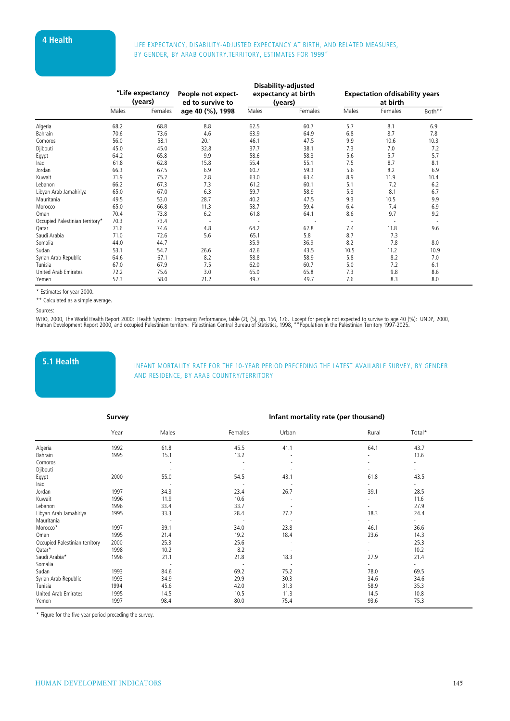# **4 Health** LIFE EXPECTANCY, DISABILITY-ADJUSTED EXPECTANCY AT BIRTH, AND RELATED MEASURES, BY GENDER, BY ARAB COUNTRY.TERRITORY, ESTIMATES FOR 1999"

|                                 |       | "Life expectancy<br>(years) | People not expect-<br>ed to survive to | Disability-adjusted<br>expectancy at birth<br>(years) | <b>Expectation ofdisability years</b><br>at birth |                          |         |        |
|---------------------------------|-------|-----------------------------|----------------------------------------|-------------------------------------------------------|---------------------------------------------------|--------------------------|---------|--------|
|                                 | Males | Females                     | age 40 (%), 1998                       | Males                                                 | Females                                           | Males                    | Females | Both** |
| Algeria                         | 68.2  | 68.8                        | 8.8                                    | 62.5                                                  | 60.7                                              | 5.7                      | 8.1     | 6.9    |
| Bahrain                         | 70.6  | 73.6                        | 4.6                                    | 63.9                                                  | 64.9                                              | 6.8                      | 8.7     | 7.8    |
| Comoros                         | 56.0  | 58.1                        | 20.1                                   | 46.1                                                  | 47.5                                              | 9.9                      | 10.6    | 10.3   |
| Djibouti                        | 45.0  | 45.0                        | 32.8                                   | 37.7                                                  | 38.1                                              | 7.3                      | 7.0     | 7.2    |
| Egypt                           | 64.2  | 65.8                        | 9.9                                    | 58.6                                                  | 58.3                                              | 5.6                      | 5.7     | 5.7    |
| Iraq                            | 61.8  | 62.8                        | 15.8                                   | 55.4                                                  | 55.1                                              | 7.5                      | 8.7     | 8.1    |
| Jordan                          | 66.3  | 67.5                        | 6.9                                    | 60.7                                                  | 59.3                                              | 5.6                      | 8.2     | 6.9    |
| Kuwait                          | 71.9  | 75.2                        | 2.8                                    | 63.0                                                  | 63.4                                              | 8.9                      | 11.9    | 10.4   |
| Lebanon                         | 66.2  | 67.3                        | 7.3                                    | 61.2                                                  | 60.1                                              | 5.1                      | 7.2     | 6.2    |
| Libyan Arab Jamahiriya          | 65.0  | 67.0                        | 6.3                                    | 59.7                                                  | 58.9                                              | 5.3                      | 8.1     | 6.7    |
| Mauritania                      | 49.5  | 53.0                        | 28.7                                   | 40.2                                                  | 47.5                                              | 9.3                      | 10.5    | 9.9    |
| Morocco                         | 65.0  | 66.8                        | 11.3                                   | 58.7                                                  | 59.4                                              | 6.4                      | 7.4     | 6.9    |
| Oman                            | 70.4  | 73.8                        | 6.2                                    | 61.8                                                  | 64.1                                              | 8.6                      | 9.7     | 9.2    |
| Occupied Palestinian territory* | 70.3  | 73.4                        |                                        |                                                       |                                                   | $\overline{\phantom{a}}$ |         |        |
| Qatar                           | 71.6  | 74.6                        | 4.8                                    | 64.2                                                  | 62.8                                              | 7.4                      | 11.8    | 9.6    |
| Saudi Arabia                    | 71.0  | 72.6                        | 5.6                                    | 65.1                                                  | 5.8                                               | 8.7                      | 7.3     |        |
| Somalia                         | 44.0  | 44.7                        |                                        | 35.9                                                  | 36.9                                              | 8.2                      | 7.8     | 8.0    |
| Sudan                           | 53.1  | 54.7                        | 26.6                                   | 42.6                                                  | 43.5                                              | 10.5                     | 11.2    | 10.9   |
| Syrian Arab Republic            | 64.6  | 67.1                        | 8.2                                    | 58.8                                                  | 58.9                                              | 5.8                      | 8.2     | 7.0    |
| Tunisia                         | 67.0  | 67.9                        | 7.5                                    | 62.0                                                  | 60.7                                              | 5.0                      | 7.2     | 6.1    |
| United Arab Emirates            | 72.2  | 75.6                        | 3.0                                    | 65.0                                                  | 65.8                                              | 7.3                      | 9.8     | 8.6    |
| Yemen                           | 57.3  | 58.0                        | 21.2                                   | 49.7                                                  | 49.7                                              | 7.6                      | 8.3     | 8.0    |

\* Estimates for year 2000.

\*\* Calculated as a simple average.

Sources:

WHO, 2000, The World Health Report 2000: Health Systems: Improving Performance, table (2), (5), pp. 156, 176. Except for people not expected to survive to age 40 (%): UNDP, 2000,<br>Human Development Report 2000, and occupied

**5.1 Health** INFANT MORTALITY RATE FOR THE 10-YEAR PERIOD PRECEDING THE LATEST AVAILABLE SURVEY, BY GENDER AND RESIDENCE, BY ARAB COUNTRY/TERRITORY

|                                | Survey |       |                          | Infant mortality rate (per thousand) |       |                          |  |  |  |
|--------------------------------|--------|-------|--------------------------|--------------------------------------|-------|--------------------------|--|--|--|
|                                | Year   | Males | Females                  | Urban                                | Rural | Total*                   |  |  |  |
| Algeria                        | 1992   | 61.8  | 45.5                     | 41.1                                 | 64.1  | 43.7                     |  |  |  |
| Bahrain                        | 1995   | 15.1  | 13.2                     |                                      |       | 13.6                     |  |  |  |
| Comoros                        |        |       |                          |                                      |       |                          |  |  |  |
| Djibouti                       |        |       |                          |                                      |       |                          |  |  |  |
| Egypt                          | 2000   | 55.0  | 54.5                     | 43.1                                 | 61.8  | 43.5                     |  |  |  |
| Iraq                           |        |       |                          |                                      |       | $\overline{\phantom{a}}$ |  |  |  |
| Jordan                         | 1997   | 34.3  | 23.4                     | 26.7                                 | 39.1  | 28.5                     |  |  |  |
| Kuwait                         | 1996   | 11.9  | 10.6                     |                                      |       | 11.6                     |  |  |  |
| Lebanon                        | 1996   | 33.4  | 33.7                     |                                      |       | 27.9                     |  |  |  |
| Libyan Arab Jamahiriya         | 1995   | 33.3  | 28.4                     | 27.7                                 | 38.3  | 24.4                     |  |  |  |
| Mauritania                     |        |       | $\overline{\phantom{a}}$ |                                      |       | $\sim$                   |  |  |  |
| Morocco*                       | 1997   | 39.1  | 34.0                     | 23.8                                 | 46.1  | 36.6                     |  |  |  |
| Oman                           | 1995   | 21.4  | 19.2                     | 18.4                                 | 23.6  | 14.3                     |  |  |  |
| Occupied Palestinian territory | 2000   | 25.3  | 25.6                     | $\overline{\phantom{a}}$             |       | 25.3                     |  |  |  |
| Qatar*                         | 1998   | 10.2  | 8.2                      | $\overline{\phantom{a}}$             |       | 10.2                     |  |  |  |
| Saudi Arabia*                  | 1996   | 21.1  | 21.8                     | 18.3                                 | 27.9  | 21.4                     |  |  |  |
| Somalia                        |        |       | $\overline{\phantom{a}}$ |                                      |       | $\sim$                   |  |  |  |
| Sudan                          | 1993   | 84.6  | 69.2                     | 75.2                                 | 78.0  | 69.5                     |  |  |  |
| Syrian Arab Republic           | 1993   | 34.9  | 29.9                     | 30.3                                 | 34.6  | 34.6                     |  |  |  |
| Tunisia                        | 1994   | 45.6  | 42.0                     | 31.3                                 | 58.9  | 35.3                     |  |  |  |
| United Arab Emirates           | 1995   | 14.5  | 10.5                     | 11.3                                 | 14.5  | 10.8                     |  |  |  |
| Yemen                          | 1997   | 98.4  | 80.0                     | 75.4                                 | 93.6  | 75.3                     |  |  |  |

\* Figure for the five-year period preceding the survey.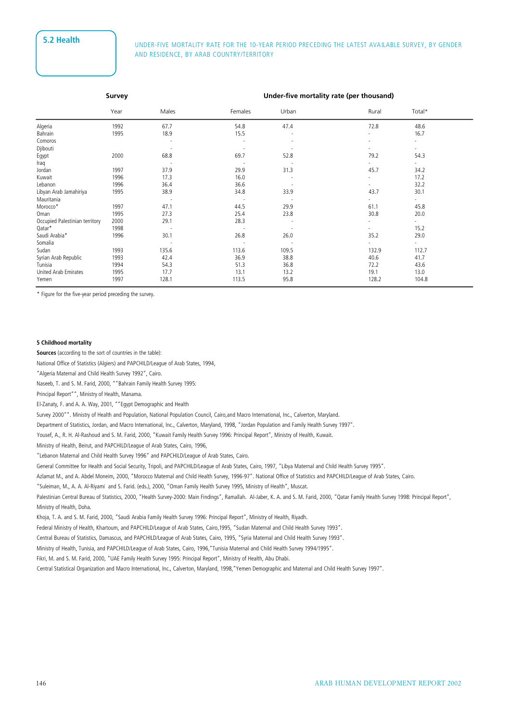# **5.2 Health** UNDER-FIVE MORTALITY RATE FOR THE 10-YEAR PERIOD PRECEDING THE LATEST AVAILABLE SURVEY, BY GENDER AND RESIDENCE, BY ARAB COUNTRY/TERRITORY

|                                | Survey |       |         | Under-five mortality rate (per thousand) |       |                          |  |  |  |
|--------------------------------|--------|-------|---------|------------------------------------------|-------|--------------------------|--|--|--|
|                                | Year   | Males | Females | Urban                                    | Rural | Total*                   |  |  |  |
| Algeria                        | 1992   | 67.7  | 54.8    | 47.4                                     | 72.8  | 48.6                     |  |  |  |
| Bahrain                        | 1995   | 18.9  | 15.5    |                                          |       | 16.7                     |  |  |  |
| Comoros                        |        |       |         |                                          | ÷     | ٠                        |  |  |  |
| Djibouti                       |        |       |         |                                          |       | -                        |  |  |  |
| Egypt                          | 2000   | 68.8  | 69.7    | 52.8                                     | 79.2  | 54.3                     |  |  |  |
| Iraq                           |        |       |         |                                          |       | ٠                        |  |  |  |
| Jordan                         | 1997   | 37.9  | 29.9    | 31.3                                     | 45.7  | 34.2                     |  |  |  |
| Kuwait                         | 1996   | 17.3  | 16.0    |                                          |       | 17.2                     |  |  |  |
| Lebanon                        | 1996   | 36.4  | 36.6    |                                          |       | 32.2                     |  |  |  |
| Libyan Arab Jamahiriya         | 1995   | 38.9  | 34.8    | 33.9                                     | 43.7  | 30.1                     |  |  |  |
| Mauritania                     |        |       |         |                                          |       | $\overline{\phantom{a}}$ |  |  |  |
| Morocco*                       | 1997   | 47.1  | 44.5    | 29.9                                     | 61.1  | 45.8                     |  |  |  |
| Oman                           | 1995   | 27.3  | 25.4    | 23.8                                     | 30.8  | 20.0                     |  |  |  |
| Occupied Palestinian territory | 2000   | 29.1  | 28.3    |                                          |       | ٠                        |  |  |  |
| Qatar*                         | 1998   |       |         | $\overline{\phantom{a}}$                 |       | 15.2                     |  |  |  |
| Saudi Arabia*                  | 1996   | 30.1  | 26.8    | 26.0                                     | 35.2  | 29.0                     |  |  |  |
| Somalia                        |        |       |         |                                          |       | $\overline{\phantom{a}}$ |  |  |  |
| Sudan                          | 1993   | 135.6 | 113.6   | 109.5                                    | 132.9 | 112.7                    |  |  |  |
| Syrian Arab Republic           | 1993   | 42.4  | 36.9    | 38.8                                     | 40.6  | 41.7                     |  |  |  |
| Tunisia                        | 1994   | 54.3  | 51.3    | 36.8                                     | 72.2  | 43.6                     |  |  |  |
| United Arab Emirates           | 1995   | 17.7  | 13.1    | 13.2                                     | 19.1  | 13.0                     |  |  |  |
| Yemen                          | 1997   | 128.1 | 113.5   | 95.8                                     | 128.2 | 104.8                    |  |  |  |

\* Figure for the five-year period preceding the survey.

#### **5 Childhood mortality**

**Sources** (according to the sort of countries in the table):

National Office of Statistics (Algiers) and PAPCHILD/League of Arab States, 1994,

"Algeria Maternal and Child Health Survey 1992", Cairo.

Naseeb, T. and S. M. Farid, 2000, ""Bahrain Family Health Survey 1995:

Principal Report"", Ministry of Health, Manama.

El-Zanaty, F. and A. A. Way, 2001, ""Egypt Demographic and Health

Survey 2000"". Ministry of Health and Population, National Population Council, Cairo,and Macro International, Inc., Calverton, Maryland.

Department of Statistics, Jordan, and Macro International, Inc., Calverton, Maryland, 1998, "Jordan Population and Family Health Survey 1997".

Yousef, A., R. H. Al-Rashoud and S. M. Farid, 2000, "Kuwait Family Health Survey 1996: Principal Report", Ministry of Health, Kuwait.

Ministry of Health, Beirut, and PAPCHILD/League of Arab States, Cairo, 1996,

"Lebanon Maternal and Child Health Survey 1996" and PAPCHILD/League of Arab States, Cairo.

General Committee for Health and Social Security, Tripoli, and PAPCHILD/League of Arab States, Cairo, 1997, "Libya Maternal and Child Health Survey 1995".

Azlamat M., and A. Abdel Moneim, 2000, "Morocco Maternal and Child Health Survey, 1996-97". National Office of Statistics and PAPCHILD/League of Arab States, Cairo.

"Suleiman, M., A. A. Al-Riyami and S. Farid. (eds.), 2000, "Oman Family Health Survey 1995, Ministry of Health", Muscat.

Palestinian Central Bureau of Statistics, 2000, "Health Survey-2000: Main Findings", Ramallah. Al-Jaber, K. A. and S. M. Farid, 2000, "Qatar Family Health Survey 1998: Principal Report", Ministry of Health, Doha.

Khoja, T. A. and S. M. Farid, 2000, "Saudi Arabia Family Health Survey 1996: Principal Report", Ministry of Health, Riyadh.

Federal Ministry of Health, Khartoum, and PAPCHILD/League of Arab States, Cairo,1995, "Sudan Maternal and Child Health Survey 1993".

Central Bureau of Statistics, Damascus, and PAPCHILD/League of Arab States, Cairo, 1995, "Syria Maternal and Child Health Survey 1993".

Ministry of Health, Tunisia, and PAPCHILD/League of Arab States, Cairo, 1996,"Tunisia Maternal and Child Health Survey 1994/1995".

Fikri, M. and S. M. Farid, 2000, "UAE Family Health Survey 1995: Principal Report", Ministry of Health, Abu Dhabi.

Central Statistical Organization and Macro International, Inc., Calverton, Maryland, 1998,"Yemen Demographic and Maternal and Child Health Survey 1997".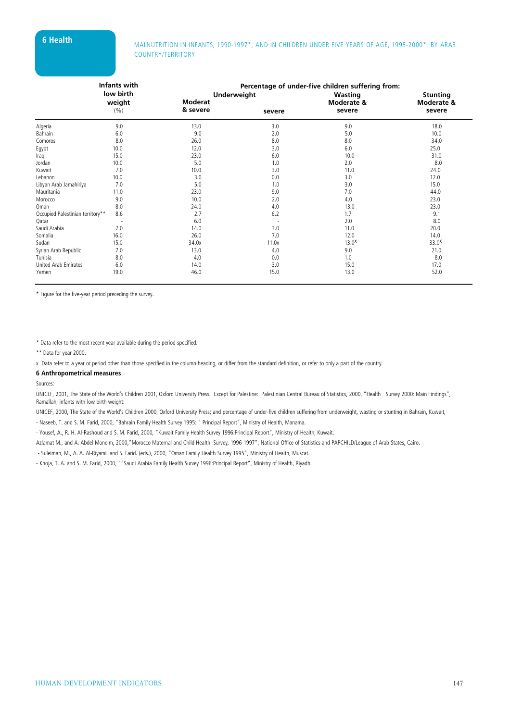# **6 Health** MALNUTRITION IN INFANTS, 1990-1997<sup>\*</sup>, AND IN CHILDREN UNDER FIVE YEARS OF AGE, 1995-2000<sup>\*</sup>, BY ARAB COUNTRY/TERRITORY

|                                  | <b>Infants with</b>      |                    | Percentage of under-five children suffering from: |                   |                   |
|----------------------------------|--------------------------|--------------------|---------------------------------------------------|-------------------|-------------------|
|                                  | low birth                | <b>Underweight</b> |                                                   | Wasting           | <b>Stunting</b>   |
|                                  | weight                   | <b>Moderat</b>     |                                                   | Moderate &        | Moderate &        |
|                                  | (% )                     | & severe           | severe                                            | severe            | severe            |
| Algeria                          | 9.0                      | 13.0               | 3.0                                               | 9.0               | 18.0              |
| Bahrain                          | 6.0                      | 9.0                | 2.0                                               | 5.0               | 10.0              |
| Comoros                          | 8.0                      | 26.0               | 8.0                                               | 8.0               | 34.0              |
| Egypt                            | 10.0                     | 12.0               | 3.0                                               | 6.0               | 25.0              |
| Iraq                             | 15.0                     | 23.0               | 6.0                                               | 10.0              | 31.0              |
| Jordan                           | 10.0                     | 5.0                | 1.0                                               | 2.0               | 8.0               |
| Kuwait                           | 7.0                      | 10.0               | 3.0                                               | 11.0              | 24.0              |
| Lebanon                          | 10.0                     | 3.0                | 0.0                                               | 3.0               | 12.0              |
| Libyan Arab Jamahiriya           | 7.0                      | 5.0                | 1.0                                               | 3.0               | 15.0              |
| Mauritania                       | 11.0                     | 23.0               | 9.0                                               | 7.0               | 44.0              |
| Morocco                          | 9.0                      | 10.0               | 2.0                                               | 4.0               | 23.0              |
| Oman                             | 8.0                      | 24.0               | 4.0                                               | 13.0              | 23.0              |
| Occupied Palestinian territory** | 8.6                      | 2.7                | 6.2                                               | 1.7               | 9.1               |
| Qatar                            | $\overline{\phantom{a}}$ | 6.0                |                                                   | 2.0               | 8.0               |
| Saudi Arabia                     | 7.0                      | 14.0               | 3.0                                               | 11.0              | 20.0              |
| Somalia                          | 16.0                     | 26.0               | 7.0                                               | 12.0              | 14.0              |
| Sudan                            | 15.0                     | 34.0x              | 11.0x                                             | 13.0 <sup>X</sup> | 33.0 <sup>X</sup> |
| Syrian Arab Republic             | 7.0                      | 13.0               | 4.0                                               | 9.0               | 21.0              |
| Tunisia                          | 8.0                      | 4.0                | 0.0                                               | 1.0               | 8.0               |
| United Arab Emirates             | 6.0                      | 14.0               | 3.0                                               | 15.0              | 17.0              |
| Yemen                            | 19.0                     | 46.0               | 15.0                                              | 13.0              | 52.0              |

\* Figure for the five-year period preceding the survey.

\* Data refer to the most recent year available during the period specified.

\*\* Data for year 2000.

x Data refer to a year or period other than those specified in the column heading, or differ from the standard definition, or refer to only a part of the country.

#### **6 Anthropometrical measures**

Sources:

UNICEF, 2001, The State of the World's Children 2001, Oxford University Press. Except for Palestine: Palestinian Central Bureau of Statistics, 2000, "Health Survey 2000: Main Findings", Ramallah; infants with low birth weight:

UNICEF, 2000, The State of the World's Children 2000, Oxford University Press; and percentage of under-five children suffering from underweight, wasting or stunting in Bahrain, Kuwait,

- Naseeb, T. and S. M. Farid, 2000, "Bahrain Family Health Survey 1995: " Principal Report", Ministry of Health, Manama.

- Yousef, A., R. H. Al-Rashoud and S. M. Farid, 2000, "Kuwait Family Health Survey 1996:Principal Report", Ministry of Health, Kuwait.

Azlamat M., and A. Abdel Moneim, 2000,"Morocco Maternal and Child Health Survey, 1996-1997", National Office of Statistics and PAPCHILD/League of Arab States, Cairo.

- Suleiman, M., A. A. Al-Riyami and S. Farid. (eds.), 2000, "Oman Family Health Survey 1995", Ministry of Health, Muscat.

- Khoja, T. A. and S. M. Farid, 2000, ""Saudi Arabia Family Health Survey 1996:Principal Report", Ministry of Health, Riyadh.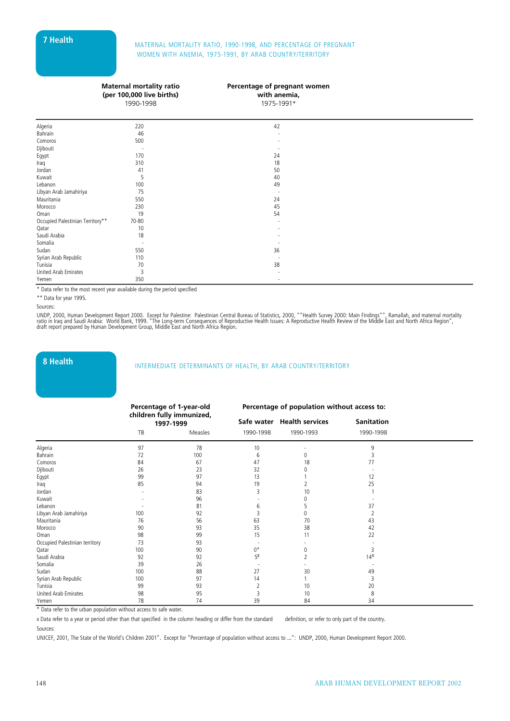# **7 Health** MATERNAL MORTALITY RATIO, 1990-1998, AND PERCENTAGE OF PREGNANT WOMEN WITH ANEMIA, 1975-1991, BY ARAB COUNTRY/TERRITORY

| <b>Maternal mortality ratio</b> |
|---------------------------------|
| (per 100,000 live births)       |
| 1990-1998                       |

#### **Percentage of pregnant women**

**with anemia,**  $1075.1001*$ 

|                                  | 1990-1990      | 1975-1991 |  |
|----------------------------------|----------------|-----------|--|
|                                  |                |           |  |
| Algeria                          | 220            | 42        |  |
| Bahrain                          | 46             |           |  |
| Comoros                          | 500            |           |  |
| Djibouti                         |                |           |  |
| Egypt                            | 170            | 24        |  |
| Iraq                             | 310            | 18        |  |
| Jordan                           | 41             | 50        |  |
| Kuwait                           | 5              | 40        |  |
| Lebanon                          | 100            | 49        |  |
| Libyan Arab Jamahiriya           | 75             |           |  |
| Mauritania                       | 550            | 24        |  |
| Morocco                          | 230            | 45        |  |
| Oman                             | 19             | 54        |  |
| Occupied Palestinian Territory** | 70-80          |           |  |
| Qatar                            | 10             |           |  |
| Saudi Arabia                     | 18             |           |  |
| Somalia                          |                |           |  |
| Sudan                            | 550            | 36        |  |
| Syrian Arab Republic             | 110            |           |  |
| Tunisia                          | 70             | 38        |  |
| United Arab Emirates             | $\overline{3}$ |           |  |
| Yemen                            | 350            | $\sim$    |  |

\* Data refer to the most recent year available during the period specified

\*\* Data for year 1995.

UNDP, 2000, Human Development Report 2000. Except for Palestine: Palestinian Central Bureau of Statistics, 2000, ""Health Survey 2000: Main Findings"", Ramallah, and maternal mortality<br>ratio in Iraq and Saudi Arabia: World

# **8 Health** INTERMEDIATE DETERMINANTS OF HEALTH, BY ARAB COUNTRY/TERRITORY

|                                |     | Percentage of 1-year-old               |           | Percentage of population without access to: |                   |  |
|--------------------------------|-----|----------------------------------------|-----------|---------------------------------------------|-------------------|--|
|                                |     | children fully immunized,<br>1997-1999 |           | Safe water Health services                  | <b>Sanitation</b> |  |
|                                | TB  | Measles                                | 1990-1998 | 1990-1993                                   | 1990-1998         |  |
| Algeria                        | 97  | 78                                     | 10        |                                             | q                 |  |
| Bahrain                        | 72  | 100                                    | 6         | 0                                           |                   |  |
| Comoros                        | 84  | 67                                     | 47        | 18                                          | 77                |  |
| Djibouti                       | 26  | 23                                     | 32        | 0                                           |                   |  |
| Egypt                          | 99  | 97                                     | 13        |                                             | 12                |  |
| Iraq                           | 85  | 94                                     | 19        |                                             | 25                |  |
| Jordan                         |     | 83                                     | 3         | 10                                          |                   |  |
| Kuwait                         |     | 96                                     |           | 0                                           |                   |  |
| Lebanon                        |     | 81                                     | 6         |                                             | 37                |  |
| Libyan Arab Jamahiriya         | 100 | 92                                     | Β         | 0                                           |                   |  |
| Mauritania                     | 76  | 56                                     | 63        | 70                                          | 43                |  |
| Morocco                        | 90  | 93                                     | 35        | 38                                          | 42                |  |
| Oman                           | 98  | 99                                     | 15        | 11                                          | 22                |  |
| Occupied Palestinian territory | 73  | 93                                     |           |                                             |                   |  |
| Qatar                          | 100 | 90                                     | $0^*$     | 0                                           |                   |  |
| Saudi Arabia                   | 92  | 92                                     | 5Х        | $\overline{\phantom{a}}$                    | $14^{\text{X}}$   |  |
| Somalia                        | 39  | 26                                     |           |                                             |                   |  |
| Sudan                          | 100 | 88                                     | 27        | 30                                          | 49                |  |
| Syrian Arab Republic           | 100 | 97                                     | 14        |                                             |                   |  |
| Tunisia                        | 99  | 93                                     | 2         | 10                                          | 20                |  |
| United Arab Emirates           | 98  | 95                                     | 3         | 10                                          | 8                 |  |
| Yemen                          | 78  | 74                                     | 39        | 84                                          | 34                |  |

\* Data refer to the urban population without access to safe water.

x Data refer to a year or period other than that specified in the column heading or differ from the standard definition, or refer to only part of the country. Sources:

UNICEF, 2001, The State of the World's Children 2001". Except for "Percentage of population without access to ...": UNDP, 2000, Human Development Report 2000.

Sources: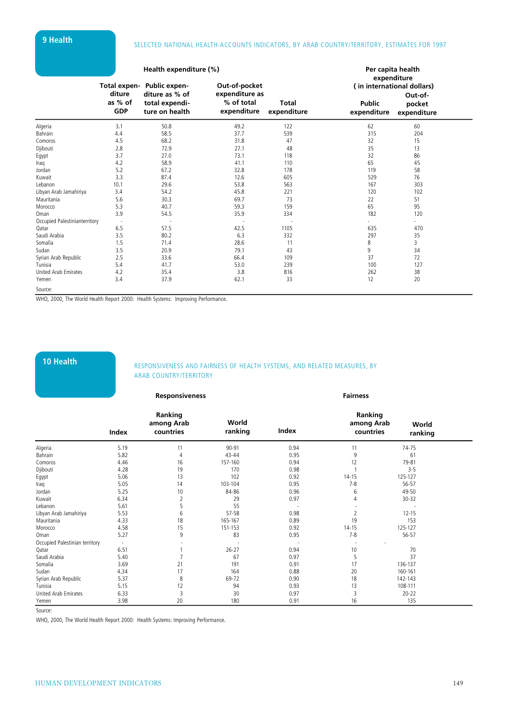# **9 Health** SELECTED NATIONAL HEALTH-ACCOUNTS INDICATORS, BY ARAB COUNTRY/TERRITORY, ESTIMATES FOR 1997

|                               |                                 | Health expenditure (%)                                                           |                                                              | Per capita health<br>expenditure |                              |                                                                |  |
|-------------------------------|---------------------------------|----------------------------------------------------------------------------------|--------------------------------------------------------------|----------------------------------|------------------------------|----------------------------------------------------------------|--|
|                               | diture<br>as % of<br><b>GDP</b> | Total expen- Public expen-<br>diture as % of<br>total expendi-<br>ture on health | Out-of-pocket<br>expenditure as<br>% of total<br>expenditure | <b>Total</b><br>expenditure      | <b>Public</b><br>expenditure | (in international dollars)<br>Out-of-<br>pocket<br>expenditure |  |
| Algeria                       | 3.1                             | 50.8                                                                             | 49.2                                                         | 122                              | 62                           | 60                                                             |  |
| Bahrain                       | 4.4                             | 58.5                                                                             | 37.7                                                         | 539                              | 315                          | 204                                                            |  |
| Comoros                       | 4.5                             | 68.2                                                                             | 31.8                                                         | 47                               | 32                           | 15                                                             |  |
| Djibouti                      | 2.8                             | 72.9                                                                             | 27.1                                                         | 48                               | 35                           | 13                                                             |  |
| Egypt                         | 3.7                             | 27.0                                                                             | 73.1                                                         | 118                              | 32                           | 86                                                             |  |
| Iraq                          | 4.2                             | 58.9                                                                             | 41.1                                                         | 110                              | 65                           | 45                                                             |  |
| Jordan                        | 5.2                             | 67.2                                                                             | 32.8                                                         | 178                              | 119                          | 58                                                             |  |
| Kuwait                        | 3.3                             | 87.4                                                                             | 12.6                                                         | 605                              | 529                          | 76                                                             |  |
| Lebanon                       | 10.1                            | 29.6                                                                             | 53.8                                                         | 563                              | 167                          | 303                                                            |  |
| Libyan Arab Jamahiriya        | 3.4                             | 54.2                                                                             | 45.8                                                         | 221                              | 120                          | 102                                                            |  |
| Mauritania                    | 5.6                             | 30.3                                                                             | 69.7                                                         | 73                               | 22                           | 51                                                             |  |
| Morocco                       | 5.3                             | 40.7                                                                             | 59.3                                                         | 159                              | 65                           | 95                                                             |  |
| Oman                          | 3.9                             | 54.5                                                                             | 35.9                                                         | 334                              | 182                          | 120                                                            |  |
| Occupied Palestinianterritory |                                 | ÷,                                                                               | $\overline{\phantom{a}}$                                     |                                  | $\sim$                       | $\sim$                                                         |  |
| Qatar                         | 6.5                             | 57.5                                                                             | 42.5                                                         | 1105                             | 635                          | 470                                                            |  |
| Saudi Arabia                  | 3.5                             | 80.2                                                                             | 6.3                                                          | 332                              | 297                          | 35                                                             |  |
| Somalia                       | 1.5                             | 71.4                                                                             | 28.6                                                         | 11                               | 8                            | 3                                                              |  |
| Sudan                         | 3.5                             | 20.9                                                                             | 79.1                                                         | 43                               | 9                            | 34                                                             |  |
| Syrian Arab Republic          | 2.5                             | 33.6                                                                             | 66.4                                                         | 109                              | 37                           | 72                                                             |  |
| Tunisia                       | 5.4                             | 41.7                                                                             | 53.0                                                         | 239                              | 100                          | 127                                                            |  |
| United Arab Emirates          | 4.2                             | 35.4                                                                             | 3.8                                                          | 816                              | 262                          | 38                                                             |  |
| Yemen                         | 3.4                             | 37.9                                                                             | 62.1                                                         | 33                               | 12                           | 20                                                             |  |
| Source:                       |                                 |                                                                                  |                                                              |                                  |                              |                                                                |  |

WHO, 2000, The World Health Report 2000: Health Systems: Improving Performance.

# **10 Health** RESPONSIVENESS AND FAIRNESS OF HEALTH SYSTEMS, AND RELATED MEASURES, BY ARAB COUNTRY/TERRITORY

|                                |                          | <b>Responsiveness</b>              |                  |       | <b>Fairness</b>                    |                  |
|--------------------------------|--------------------------|------------------------------------|------------------|-------|------------------------------------|------------------|
|                                | Index                    | Ranking<br>among Arab<br>countries | World<br>ranking | Index | Ranking<br>among Arab<br>countries | World<br>ranking |
| Algeria                        | 5.19                     | 11                                 | 90-91            | 0.94  | 11                                 | 74-75            |
| Bahrain                        | 5.82                     | 4                                  | $43 - 44$        | 0.95  | 9                                  | 61               |
| Comoros                        | 4.46                     | 16                                 | 157-160          | 0.94  | 12                                 | 79-81            |
| Djibouti                       | 4.28                     | 19                                 | 170              | 0.98  |                                    | $3 - 5$          |
| Egypt                          | 5.06                     | 13                                 | 102              | 0.92  | $14 - 15$                          | 125-127          |
| Iraq                           | 5.05                     | 14                                 | 103-104          | 0.95  | $7 - 8$                            | 56-57            |
| Jordan                         | 5.25                     | 10                                 | 84-86            | 0.96  | 6                                  | 49-50            |
| Kuwait                         | 6.34                     | $\overline{2}$                     | 29               | 0.97  | 4                                  | $30 - 32$        |
| Lebanon                        | 5.61                     | 5                                  | 55               |       |                                    |                  |
| Libyan Arab Jamahiriya         | 5.53                     | 6                                  | 57-58            | 0.98  |                                    | $12 - 15$        |
| Mauritania                     | 4.33                     | 18                                 | 165-167          | 0.89  | 19                                 | 153              |
| Morocco                        | 4.58                     | 15                                 | 151-153          | 0.92  | $14 - 15$                          | 125-127          |
| Oman                           | 5.27                     | 9                                  | 83               | 0.95  | $7 - 8$                            | 56-57            |
| Occupied Palestinian territory | $\overline{\phantom{a}}$ |                                    |                  |       |                                    |                  |
| Qatar                          | 6.51                     |                                    | $26 - 27$        | 0.94  | 10                                 | 70               |
| Saudi Arabia                   | 5.40                     |                                    | 67               | 0.97  | 5                                  | 37               |
| Somalia                        | 3.69                     | 21                                 | 191              | 0.91  | 17                                 | 136-137          |
| Sudan                          | 4.34                     | 17                                 | 164              | 0.88  | 20                                 | 160-161          |
| Syrian Arab Republic           | 5.37                     | 8                                  | 69-72            | 0.90  | 18                                 | 142-143          |
| Tunisia                        | 5.15                     | 12                                 | 94               | 0.93  | 13                                 | 108-111          |
| United Arab Emirates           | 6.33                     | $\overline{\mathbf{3}}$            | 30               | 0.97  | 3                                  | $20 - 22$        |
| Yemen                          | 3.98                     | 20                                 | 180              | 0.91  | 16                                 | 135              |

Source:

WHO, 2000, The World Health Report 2000: Health Systems: Improving Performance.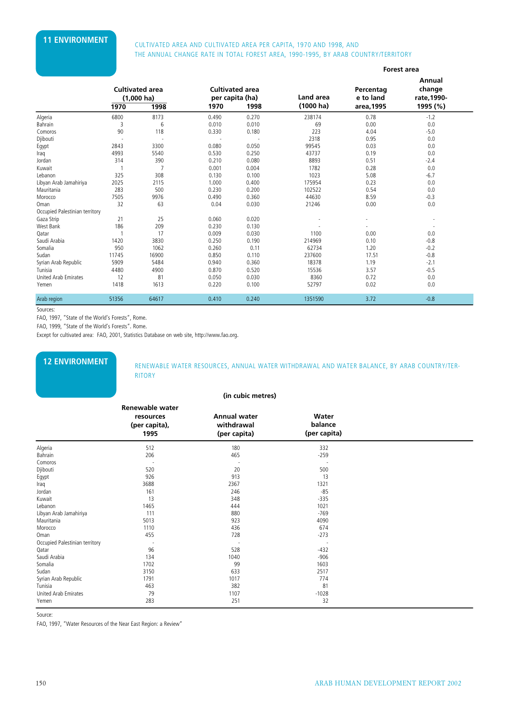# **11 ENVIRONMENT** CULTIVATED AREA AND CULTIVATED AREA PER CAPITA, 1970 AND 1998, AND THE ANNUAL CHANGE RATE IN TOTAL FOREST AREA, 1990-1995, BY ARAB COUNTRY/TERRITORY

|                                |       |                                                        |       |                                                   |                           |                                      | <b>Forest area</b>                          |
|--------------------------------|-------|--------------------------------------------------------|-------|---------------------------------------------------|---------------------------|--------------------------------------|---------------------------------------------|
|                                | 1970  | <b>Cultivated area</b><br>$(1,000 \text{ ha})$<br>1998 | 1970  | <b>Cultivated area</b><br>per capita (ha)<br>1998 | Land area<br>$(1000)$ ha) | Percentag<br>e to land<br>area, 1995 | Annual<br>change<br>rate, 1990-<br>1995 (%) |
| Algeria                        | 6800  | 8173                                                   | 0.490 | 0.270                                             | 238174                    | 0.78                                 | $-1.2$                                      |
| Bahrain                        | 3     | 6                                                      | 0.010 | 0.010                                             | 69                        | 0.00                                 | 0.0                                         |
| Comoros                        | 90    | 118                                                    | 0.330 | 0.180                                             | 223                       | 4.04                                 | $-5.0$                                      |
| Djibouti                       |       | $\overline{\phantom{a}}$                               |       |                                                   | 2318                      | 0.95                                 | 0.0                                         |
| Egypt                          | 2843  | 3300                                                   | 0.080 | 0.050                                             | 99545                     | 0.03                                 | 0.0                                         |
| Iraq                           | 4993  | 5540                                                   | 0.530 | 0.250                                             | 43737                     | 0.19                                 | 0.0                                         |
| Jordan                         | 314   | 390                                                    | 0.210 | 0.080                                             | 8893                      | 0.51                                 | $-2.4$                                      |
| Kuwait                         |       | 7                                                      | 0.001 | 0.004                                             | 1782                      | 0.28                                 | 0.0                                         |
| Lebanon                        | 325   | 308                                                    | 0.130 | 0.100                                             | 1023                      | 5.08                                 | $-6.7$                                      |
| Libyan Arab Jamahiriya         | 2025  | 2115                                                   | 1.000 | 0.400                                             | 175954                    | 0.23                                 | 0.0                                         |
| Mauritania                     | 283   | 500                                                    | 0.230 | 0.200                                             | 102522                    | 0.54                                 | 0.0                                         |
| Morocco                        | 7505  | 9976                                                   | 0.490 | 0.360                                             | 44630                     | 8.59                                 | $-0.3$                                      |
| Oman                           | 32    | 63                                                     | 0.04  | 0.030                                             | 21246                     | 0.00                                 | 0.0                                         |
| Occupied Palestinian territory |       |                                                        |       |                                                   |                           |                                      |                                             |
| Gaza Strip                     | 21    | 25                                                     | 0.060 | 0.020                                             |                           |                                      |                                             |
| West Bank                      | 186   | 209                                                    | 0.230 | 0.130                                             |                           |                                      | ٠.                                          |
| Qatar                          |       | 17                                                     | 0.009 | 0.030                                             | 1100                      | 0.00                                 | 0.0                                         |
| Saudi Arabia                   | 1420  | 3830                                                   | 0.250 | 0.190                                             | 214969                    | 0.10                                 | $-0.8$                                      |
| Somalia                        | 950   | 1062                                                   | 0.260 | 0.11                                              | 62734                     | 1.20                                 | $-0.2$                                      |
| Sudan                          | 11745 | 16900                                                  | 0.850 | 0.110                                             | 237600                    | 17.51                                | $-0.8$                                      |
| Syrian Arab Republic           | 5909  | 5484                                                   | 0.940 | 0.360                                             | 18378                     | 1.19                                 | $-2.1$                                      |
| Tunisia                        | 4480  | 4900                                                   | 0.870 | 0.520                                             | 15536                     | 3.57                                 | $-0.5$                                      |
| <b>United Arab Emirates</b>    | 12    | 81                                                     | 0.050 | 0.030                                             | 8360                      | 0.72                                 | 0.0                                         |
| Yemen                          | 1418  | 1613                                                   | 0.220 | 0.100                                             | 52797                     | 0.02                                 | 0.0                                         |
| Arab region                    | 51356 | 64617                                                  | 0.410 | 0.240                                             | 1351590                   | 3.72                                 | $-0.8$                                      |

Sources:

FAO, 1997, "State of the World's Forests", Rome.

FAO, 1999, "State of the World's Forests". Rome.

Except for cultivated area: FAO, 2001, Statistics Database on web site, http://www.fao.org.

**12 ENVIRONMENT** RENEWABLE WATER RESOURCES, ANNUAL WATER WITHDRAWAL AND WATER BALANCE, BY ARAB COUNTRY/TER-**RITORY** 

### **(in cubic metres)**

|                                | <b>Renewable water</b>             |                                                   |                                  |  |
|--------------------------------|------------------------------------|---------------------------------------------------|----------------------------------|--|
|                                | resources<br>(per capita),<br>1995 | <b>Annual water</b><br>withdrawal<br>(per capita) | Water<br>balance<br>(per capita) |  |
| Algeria                        | 512                                | 180                                               | 332                              |  |
| Bahrain                        | 206                                | 465                                               | $-259$                           |  |
| Comoros                        |                                    |                                                   |                                  |  |
| Djibouti                       | 520                                | 20                                                | 500                              |  |
| Egypt                          | 926                                | 913                                               | 13                               |  |
| Iraq                           | 3688                               | 2367                                              | 1321                             |  |
| Jordan                         | 161                                | 246                                               | $-85$                            |  |
| Kuwait                         | 13                                 | 348                                               | $-335$                           |  |
| Lebanon                        | 1465                               | 444                                               | 1021                             |  |
| Libyan Arab Jamahiriya         | 111                                | 880                                               | $-769$                           |  |
| Mauritania                     | 5013                               | 923                                               | 4090                             |  |
| Morocco                        | 1110                               | 436                                               | 674                              |  |
| Oman                           | 455                                | 728                                               | $-273$                           |  |
| Occupied Palestinian territory |                                    |                                                   |                                  |  |
| Qatar                          | 96                                 | 528                                               | $-432$                           |  |
| Saudi Arabia                   | 134                                | 1040                                              | $-906$                           |  |
| Somalia                        | 1702                               | 99                                                | 1603                             |  |
| Sudan                          | 3150                               | 633                                               | 2517                             |  |
| Syrian Arab Republic           | 1791                               | 1017                                              | 774                              |  |
| Tunisia                        | 463                                | 382                                               | 81                               |  |
| United Arab Emirates           | 79                                 | 1107                                              | $-1028$                          |  |
| Yemen                          | 283                                | 251                                               | 32                               |  |

Source:

FAO, 1997, "Water Resources of the Near East Region: a Review"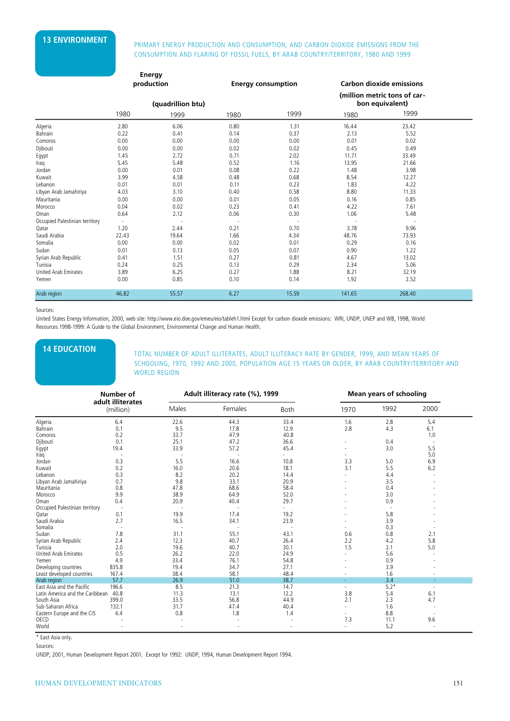# **13 ENVIRONMENT** PRIMARY ENERGY PRODUCTION AND CONSUMPTION, AND CARBON DIOXIDE EMISSIONS FROM THE CONSUMPTION AND FLARING OF FOSSIL FUELS, BY ARAB COUNTRY/TERRITORY, 1980 AND 1999

|                                |                          | <b>Energy</b>     |      |                           |        |                                                 |  |
|--------------------------------|--------------------------|-------------------|------|---------------------------|--------|-------------------------------------------------|--|
|                                |                          | production        |      | <b>Energy consumption</b> |        | <b>Carbon dioxide emissions</b>                 |  |
|                                |                          | (quadrillion btu) |      |                           |        | (million metric tons of car-<br>bon equivalent) |  |
|                                | 1980                     | 1999              | 1980 | 1999                      | 1980   | 1999                                            |  |
| Algeria                        | 2.80                     | 6.06              | 0.80 | 1.31                      | 16.44  | 23.42                                           |  |
| Bahrain                        | 0.22                     | 0.41              | 0.14 | 0.37                      | 2.13   | 5.52                                            |  |
| Comoros                        | 0.00                     | 0.00              | 0.00 | 0.00                      | 0.01   | 0.02                                            |  |
| Djibouti                       | 0.00                     | 0.00              | 0.02 | 0.02                      | 0.45   | 0.49                                            |  |
| Egypt                          | 1.45                     | 2.72              | 0.71 | 2.02                      | 11.71  | 33.49                                           |  |
| Iraq                           | 5.45                     | 5.48              | 0.52 | 1.16                      | 13.95  | 21.66                                           |  |
| Jordan                         | 0.00                     | 0.01              | 0.08 | 0.22                      | 1.48   | 3.98                                            |  |
| Kuwait                         | 3.99                     | 4.58              | 0.48 | 0.68                      | 8.54   | 12.27                                           |  |
| Lebanon                        | 0.01                     | 0.01              | 0.11 | 0.23                      | 1.83   | 4.22                                            |  |
| Libyan Arab Jamahiriya         | 4.03                     | 3.10              | 0.40 | 0.58                      | 8.80   | 11.33                                           |  |
| Mauritania                     | 0.00                     | 0.00              | 0.01 | 0.05                      | 0.16   | 0.85                                            |  |
| Morocco                        | 0.04                     | 0.02              | 0.23 | 0.41                      | 4.22   | 7.61                                            |  |
| Oman                           | 0.64                     | 2.12              | 0.06 | 0.30                      | 1.06   | 5.48                                            |  |
| Occupied Palestinian territory | $\overline{\phantom{a}}$ |                   | ÷,   |                           |        |                                                 |  |
| Qatar                          | 1.20                     | 2.44              | 0.21 | 0.70                      | 3.78   | 9.96                                            |  |
| Saudi Arabia                   | 22.43                    | 19.64             | 1.66 | 4.34                      | 48.76  | 73.93                                           |  |
| Somalia                        | 0.00                     | 0.00              | 0.02 | 0.01                      | 0.29   | 0.16                                            |  |
| Sudan                          | 0.01                     | 0.13              | 0.05 | 0.07                      | 0.90   | 1.22                                            |  |
| Syrian Arab Republic           | 0.41                     | 1.51              | 0.27 | 0.81                      | 4.67   | 13.02                                           |  |
| Tunisia                        | 0.24                     | 0.25              | 0.13 | 0.29                      | 2.34   | 5.06                                            |  |
| <b>United Arab Emirates</b>    | 3.89                     | 6.25              | 0.27 | 1.88                      | 8.21   | 32.19                                           |  |
| Yemen                          | 0.00                     | 0.85              | 0.10 | 0.14                      | 1.92   | 2.52                                            |  |
| Arab region                    | 46.82                    | 55.57             | 6.27 | 15.59                     | 141.65 | 268.40                                          |  |

Sources:

United States Energy Information, 2000, web site: http://www.eio.doe.gov/emeu/eio/tableh1.html Except for carbon dioxide emissions: WRI, UNDP, UNEP and WB, 1998, World Resources 1998-1999: A Guide to the Global Environment, Environmental Change and Human Health.

**14 EDUCATION** TOTAL NUMBER OF ADULT ILLITERATES, ADULT ILLITERACY RATE BY GENDER, 1999, AND MEAN YEARS OF SCHOOLING, 1970, 1992 AND 2000, POPULATION AGE 15 YEARS OR OLDER, BY ARAB COUNTRY/TERRITORY AND WORLD REGION

|                                      | <b>Number of</b>               |       | Adult illiteracy rate (%), 1999 |             |      | <b>Mean years of schooling</b> |        |  |
|--------------------------------------|--------------------------------|-------|---------------------------------|-------------|------|--------------------------------|--------|--|
|                                      | adult illiterates<br>(million) | Males | Females                         | <b>Both</b> | 1970 | 1992                           | 2000   |  |
| Algeria                              | 6.4                            | 22.6  | 44.3                            | 33.4        | 1.6  | 2.8                            | 5.4    |  |
| Bahrain                              | 0.1                            | 9.5   | 17.8                            | 12.9        | 2.8  | 4.3                            | 6.1    |  |
| Comoros                              | 0.2                            | 33.7  | 47.9                            | 40.8        |      |                                | 1.0    |  |
| Djibouti                             | 0.1                            | 25.1  | 47.2                            | 36.6        |      | 0.4                            |        |  |
| Egypt                                | 19.4                           | 33.9  | 57.2                            | 45.4        |      | 3.0                            | 5.5    |  |
| Iraq                                 |                                |       |                                 |             |      |                                | 5.0    |  |
| Jordan                               | 0.3                            | 5.5   | 16.6                            | 10.8        | 3.3  | 5.0                            | 6.9    |  |
| Kuwait                               | 0.2                            | 16.0  | 20.6                            | 18.1        | 3.1  | 5.5                            | 6.2    |  |
| Lebanon                              | 0.3                            | 8.2   | 20.2                            | 14.4        |      | 4.4                            |        |  |
| Libyan Arab Jamahiriya               | 0.7                            | 9.8   | 33.1                            | 20.9        |      | 3.5                            |        |  |
| Mauritania                           | 0.8                            | 47.8  | 68.6                            | 58.4        |      | 0.4                            |        |  |
| Morocco                              | 9.9                            | 38.9  | 64.9                            | 52.0        |      | 3.0                            |        |  |
| Oman                                 | 0.4                            | 20.9  | 40.4                            | 29.7        |      | 0.9                            |        |  |
| Occupied Palestinian territory       |                                |       |                                 |             |      |                                |        |  |
| Qatar                                | 0.1                            | 19.9  | 17.4                            | 19.2        |      | 5.8                            |        |  |
| Saudi Arabia                         | 2.7                            | 16.5  | 34.1                            | 23.9        |      | 3.9                            |        |  |
| Somalia                              |                                |       |                                 |             |      | 0.3                            |        |  |
| Sudan                                | 7.8                            | 31.1  | 55.1                            | 43.1        | 0.6  | 0.8                            | 2.1    |  |
| Syrian Arab Republic                 | 2.4                            | 12.3  | 40.7                            | 26.4        | 2.2  | 4.2                            | 5.8    |  |
| Tunisia                              | 2.0                            | 19.6  | 40.7                            | 30.1        | 1.5  | 2.1                            | 5.0    |  |
| United Arab Emirates                 | 0.5                            | 26.2  | 22.0                            | 24.9        |      | 5.6                            |        |  |
| Yemen                                | 4.9                            | 33.4  | 76.1                            | 54.8        |      | 0.9                            |        |  |
| Developing countries                 | 835.8                          | 19.4  | 34.7                            | 27.1        |      | 3.9                            |        |  |
| Least developed countries            | 167.4                          | 38.4  | 58.1                            | 48.4        |      | 1.6                            |        |  |
| Arab region                          | 57.7                           | 26.9  | 51.0                            | 38.7        |      | 3.4                            |        |  |
| East Asia and the Pacific            | 196.6                          | 8.5   | 21.3                            | 14.7        |      | $5.2*$                         |        |  |
| Latin America and the Caribbean 40.8 |                                | 11.3  | 13.1                            | 12.2        | 3.8  | 5.4                            | 6.1    |  |
| South Asia                           | 399.0                          | 33.5  | 56.8                            | 44.9        | 2.1  | 2.3                            | 4.7    |  |
| Sub-Saharan Africa                   | 132.1                          | 31.7  | 47.4                            | 40.4        |      | 1.6                            |        |  |
| Eastern Europe and the CIS           | 4.4                            | 0.8   | 1.8                             | 1.4         |      | 8.8                            |        |  |
| <b>OECD</b>                          |                                |       |                                 |             | 7.3  | 11.1                           | 9.6    |  |
| World                                |                                |       |                                 |             |      | 5.2                            | $\sim$ |  |

\* East Asia only.

Sources:

UNDP, 2001, Human Development Report 2001. Except for 1992: UNDP, 1994, Human Development Report 1994.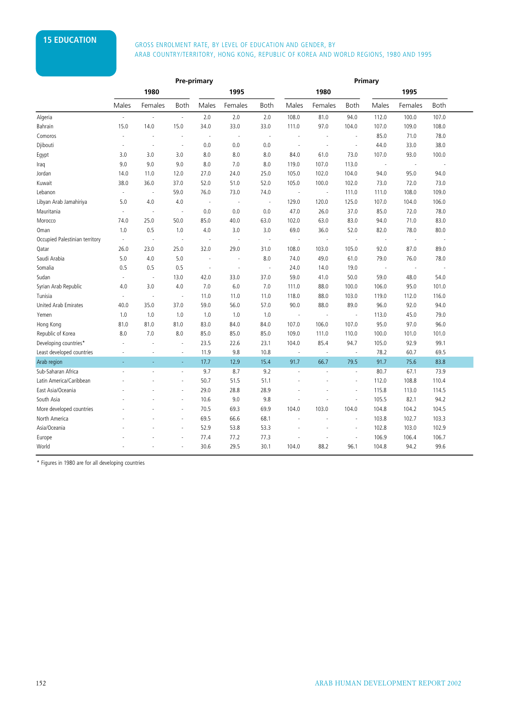# **15 EDUCATION GROSS ENROLMENT RATE, BY LEVEL OF EDUCATION AND GENDER, BY** ARAB COUNTRY/TERRITORY, HONG KONG, REPUBLIC OF KOREA AND WORLD REGIONS, 1980 AND 1995

|                                |                          | <b>Pre-primary</b> |                          |                          |                          |                          | Primary                  |                          |                          |                          |                          |                          |  |
|--------------------------------|--------------------------|--------------------|--------------------------|--------------------------|--------------------------|--------------------------|--------------------------|--------------------------|--------------------------|--------------------------|--------------------------|--------------------------|--|
|                                |                          | 1980               |                          |                          | 1995                     |                          |                          | 1980                     |                          |                          | 1995                     |                          |  |
|                                | Males                    | Females            | Both                     | Males                    | Females                  | <b>Both</b>              | Males                    | Females                  | <b>Both</b>              | Males                    | Females                  | <b>Both</b>              |  |
| Algeria                        | ä,                       | ÷,                 | $\overline{\phantom{a}}$ | 2.0                      | 2.0                      | 2.0                      | 108.0                    | 81.0                     | 94.0                     | 112.0                    | 100.0                    | 107.0                    |  |
| Bahrain                        | 15.0                     | 14.0               | 15.0                     | 34.0                     | 33.0                     | 33.0                     | 111.0                    | 97.0                     | 104.0                    | 107.0                    | 109.0                    | 108.0                    |  |
| Comoros                        | ä,                       | ä,                 | ÷,                       | ÷.                       | ÷.                       | ÷.                       | $\overline{a}$           | ÷.                       | ÷.                       | 85.0                     | 71.0                     | 78.0                     |  |
| Djibouti                       | ÷,                       | ÷,                 | ÷,                       | 0.0                      | 0.0                      | 0.0                      | $\overline{\phantom{a}}$ | $\overline{\phantom{a}}$ | $\overline{\phantom{a}}$ | 44.0                     | 33.0                     | 38.0                     |  |
| Egypt                          | 3.0                      | 3.0                | 3.0                      | 8.0                      | 8.0                      | 8.0                      | 84.0                     | 61.0                     | 73.0                     | 107.0                    | 93.0                     | 100.0                    |  |
| Iraq                           | 9.0                      | 9.0                | 9.0                      | 8.0                      | 7.0                      | 8.0                      | 119.0                    | 107.0                    | 113.0                    | ÷,                       | ÷,                       |                          |  |
| Jordan                         | 14.0                     | 11.0               | 12.0                     | 27.0                     | 24.0                     | 25.0                     | 105.0                    | 102.0                    | 104.0                    | 94.0                     | 95.0                     | 94.0                     |  |
| Kuwait                         | 38.0                     | 36.0               | 37.0                     | 52.0                     | 51.0                     | 52.0                     | 105.0                    | 100.0                    | 102.0                    | 73.0                     | 72.0                     | 73.0                     |  |
| Lebanon                        | $\omega$                 |                    | 59.0                     | 76.0                     | 73.0                     | 74.0                     |                          | ÷,                       | 111.0                    | 111.0                    | 108.0                    | 109.0                    |  |
| Libyan Arab Jamahiriya         | 5.0                      | 4.0                | 4.0                      | $\overline{\phantom{a}}$ | $\overline{\phantom{a}}$ | $\overline{\phantom{a}}$ | 129.0                    | 120.0                    | 125.0                    | 107.0                    | 104.0                    | 106.0                    |  |
| Mauritania                     | $\omega$                 | ÷,                 | $\overline{\phantom{a}}$ | 0.0                      | 0.0                      | 0.0                      | 47.0                     | 26.0                     | 37.0                     | 85.0                     | 72.0                     | 78.0                     |  |
| Morocco                        | 74.0                     | 25.0               | 50.0                     | 85.0                     | 40.0                     | 63.0                     | 102.0                    | 63.0                     | 83.0                     | 94.0                     | 71.0                     | 83.0                     |  |
| Oman                           | 1.0                      | 0.5                | 1.0                      | 4.0                      | 3.0                      | 3.0                      | 69.0                     | 36.0                     | 52.0                     | 82.0                     | 78.0                     | 80.0                     |  |
| Occupied Palestinian territory | $\overline{\phantom{a}}$ | ÷,                 | ÷,                       | $\overline{\phantom{a}}$ | ÷,                       | $\overline{\phantom{a}}$ | $\overline{\phantom{a}}$ | $\overline{\phantom{a}}$ | $\sim$                   | $\overline{\phantom{a}}$ | $\overline{\phantom{a}}$ | $\overline{\phantom{a}}$ |  |
| Qatar                          | 26.0                     | 23.0               | 25.0                     | 32.0                     | 29.0                     | 31.0                     | 108.0                    | 103.0                    | 105.0                    | 92.0                     | 87.0                     | 89.0                     |  |
| Saudi Arabia                   | 5.0                      | 4.0                | 5.0                      | ÷.                       | $\overline{\phantom{a}}$ | 8.0                      | 74.0                     | 49.0                     | 61.0                     | 79.0                     | 76.0                     | 78.0                     |  |
| Somalia                        | 0.5                      | 0.5                | 0.5                      | $\sim$                   | ÷,                       | J.                       | 24.0                     | 14.0                     | 19.0                     | J.                       | ÷,                       | J.                       |  |
| Sudan                          | ÷,                       | J.                 | 13.0                     | 42.0                     | 33.0                     | 37.0                     | 59.0                     | 41.0                     | 50.0                     | 59.0                     | 48.0                     | 54.0                     |  |
| Syrian Arab Republic           | 4.0                      | 3.0                | 4.0                      | 7.0                      | 6.0                      | 7.0                      | 111.0                    | 88.0                     | 100.0                    | 106.0                    | 95.0                     | 101.0                    |  |
| Tunisia                        | $\omega$                 | ÷,                 | $\overline{\phantom{a}}$ | 11.0                     | 11.0                     | 11.0                     | 118.0                    | 88.0                     | 103.0                    | 119.0                    | 112.0                    | 116.0                    |  |
| United Arab Emirates           | 40.0                     | 35.0               | 37.0                     | 59.0                     | 56.0                     | 57.0                     | 90.0                     | 88.0                     | 89.0                     | 96.0                     | 92.0                     | 94.0                     |  |
| Yemen                          | 1.0                      | 1.0                | 1.0                      | 1.0                      | 1.0                      | 1.0                      | $\overline{\phantom{a}}$ | $\overline{\phantom{a}}$ | ÷,                       | 113.0                    | 45.0                     | 79.0                     |  |
| Hong Kong                      | 81.0                     | 81.0               | 81.0                     | 83.0                     | 84.0                     | 84.0                     | 107.0                    | 106.0                    | 107.0                    | 95.0                     | 97.0                     | 96.0                     |  |
| Republic of Korea              | 8.0                      | 7.0                | 8.0                      | 85.0                     | 85.0                     | 85.0                     | 109.0                    | 111.0                    | 110.0                    | 100.0                    | 101.0                    | 101.0                    |  |
| Developing countries*          | ÷.                       | L.                 | ÷.                       | 23.5                     | 22.6                     | 23.1                     | 104.0                    | 85.4                     | 94.7                     | 105.0                    | 92.9                     | 99.1                     |  |
| Least developed countries      | ×,                       |                    | ä,                       | 11.9                     | 9.8                      | 10.8                     | $\overline{\phantom{a}}$ | $\overline{\phantom{a}}$ | $\overline{\phantom{a}}$ | 78.2                     | 60.7                     | 69.5                     |  |
| Arab region                    | L.                       | ÷                  | ä,                       | 17.7                     | 12.9                     | 15.4                     | 91.7                     | 66.7                     | 79.5                     | 91.7                     | 75.6                     | 83.8                     |  |
| Sub-Saharan Africa             |                          |                    | ä,                       | 9.7                      | 8.7                      | 9.2                      |                          |                          | $\overline{\phantom{a}}$ | 80.7                     | 67.1                     | 73.9                     |  |
| Latin America/Caribbean        |                          |                    | ä,                       | 50.7                     | 51.5                     | 51.1                     |                          |                          | ÷.                       | 112.0                    | 108.8                    | 110.4                    |  |
| East Asia/Oceania              |                          |                    | ÷,                       | 29.0                     | 28.8                     | 28.9                     |                          |                          | $\overline{\phantom{a}}$ | 115.8                    | 113.0                    | 114.5                    |  |
| South Asia                     |                          |                    | ä,                       | 10.6                     | 9.0                      | 9.8                      |                          |                          | $\overline{\phantom{a}}$ | 105.5                    | 82.1                     | 94.2                     |  |
| More developed countries       |                          |                    | L,                       | 70.5                     | 69.3                     | 69.9                     | 104.0                    | 103.0                    | 104.0                    | 104.8                    | 104.2                    | 104.5                    |  |
| North America                  |                          |                    | L.                       | 69.5                     | 66.6                     | 68.1                     | ä,                       |                          | $\overline{\phantom{a}}$ | 103.8                    | 102.7                    | 103.3                    |  |
| Asia/Oceania                   |                          |                    | ä,                       | 52.9                     | 53.8                     | 53.3                     | ÷,                       | ×,                       | $\overline{\phantom{a}}$ | 102.8                    | 103.0                    | 102.9                    |  |
| Europe                         |                          |                    | ä,                       | 77.4                     | 77.2                     | 77.3                     |                          |                          | ÷,                       | 106.9                    | 106.4                    | 106.7                    |  |
| World                          |                          |                    | $\bar{a}$                | 30.6                     | 29.5                     | 30.1                     | 104.0                    | 88.2                     | 96.1                     | 104.8                    | 94.2                     | 99.6                     |  |

\* Figures in 1980 are for all developing countries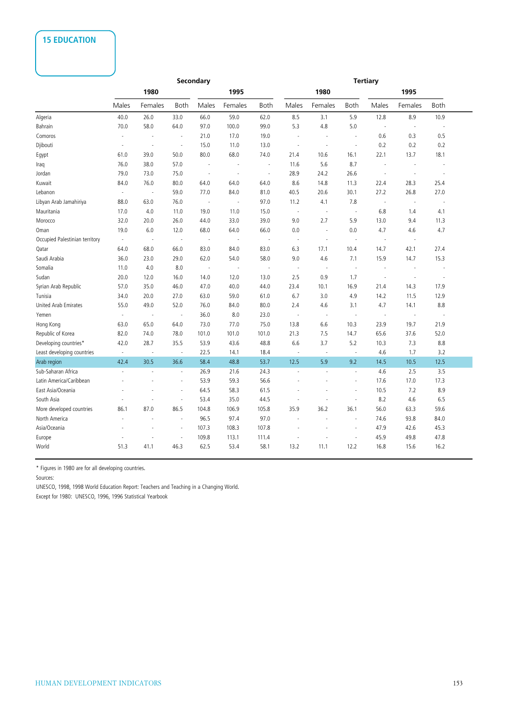# **15 EDUCATION**

|                                |                             | Secondary |                          |                          |                          |                          | <b>Tertiary</b>          |                          |                          |                          |                          |        |
|--------------------------------|-----------------------------|-----------|--------------------------|--------------------------|--------------------------|--------------------------|--------------------------|--------------------------|--------------------------|--------------------------|--------------------------|--------|
|                                |                             | 1980      |                          |                          | 1995                     |                          |                          | 1980                     |                          |                          | 1995                     |        |
|                                | Males                       | Females   | Both                     | Males                    | Females                  | <b>Both</b>              | Males                    | Females                  | <b>Both</b>              | Males                    | Females                  | Both   |
| Algeria                        | 40.0                        | 26.0      | 33.0                     | 66.0                     | 59.0                     | 62.0                     | 8.5                      | 3.1                      | 5.9                      | 12.8                     | 8.9                      | 10.9   |
| Bahrain                        | 70.0                        | 58.0      | 64.0                     | 97.0                     | 100.0                    | 99.0                     | 5.3                      | 4.8                      | 5.0                      | ÷.                       | $\sim$                   | ÷.     |
| Comoros                        | $\blacksquare$              | ÷,        | $\overline{\phantom{a}}$ | 21.0                     | 17.0                     | 19.0                     | ł,                       |                          | ÷,                       | 0.6                      | 0.3                      | 0.5    |
| Djibouti                       | $\overline{\phantom{a}}$    | ÷,        | $\overline{\phantom{a}}$ | 15.0                     | 11.0                     | 13.0                     | $\sim$                   | $\overline{\phantom{a}}$ | $\overline{\phantom{a}}$ | 0.2                      | 0.2                      | 0.2    |
| Egypt                          | 61.0                        | 39.0      | 50.0                     | 80.0                     | 68.0                     | 74.0                     | 21.4                     | 10.6                     | 16.1                     | 22.1                     | 13.7                     | 18.1   |
| Iraq                           | 76.0                        | 38.0      | 57.0                     | ÷,                       |                          | $\overline{\phantom{a}}$ | 11.6                     | 5.6                      | 8.7                      | J.                       |                          |        |
| Jordan                         | 79.0                        | 73.0      | 75.0                     | $\overline{\phantom{a}}$ | ٠.                       | $\overline{\phantom{a}}$ | 28.9                     | 24.2                     | 26.6                     | $\overline{\phantom{a}}$ | ÷,                       | $\sim$ |
| Kuwait                         | 84.0                        | 76.0      | 80.0                     | 64.0                     | 64.0                     | 64.0                     | 8.6                      | 14.8                     | 11.3                     | 22.4                     | 28.3                     | 25.4   |
| Lebanon                        | $\sim$                      | $\sim$    | 59.0                     | 77.0                     | 84.0                     | 81.0                     | 40.5                     | 20.6                     | 30.1                     | 27.2                     | 26.8                     | 27.0   |
| Libyan Arab Jamahiriya         | 88.0                        | 63.0      | 76.0                     | $\sim$                   | $\overline{\phantom{a}}$ | 97.0                     | 11.2                     | 4.1                      | 7.8                      | $\ddot{\phantom{a}}$     | $\overline{\phantom{a}}$ | J.     |
| Mauritania                     | 17.0                        | 4.0       | 11.0                     | 19.0                     | 11.0                     | 15.0                     | $\sim$                   | $\sim$                   | $\sim$                   | 6.8                      | 1.4                      | 4.1    |
| Morocco                        | 32.0                        | 20.0      | 26.0                     | 44.0                     | 33.0                     | 39.0                     | 9.0                      | 2.7                      | 5.9                      | 13.0                     | 9.4                      | 11.3   |
| Oman                           | 19.0                        | 6.0       | 12.0                     | 68.0                     | 64.0                     | 66.0                     | 0.0                      | ÷,                       | 0.0                      | 4.7                      | 4.6                      | 4.7    |
| Occupied Palestinian territory | $\overline{\phantom{a}}$    | $\sim$    | $\overline{\phantom{a}}$ | $\sim$                   | ÷,                       | ÷,                       | $\sim$                   | ÷,                       | ÷,                       | ÷,                       | $\sim$                   |        |
| Qatar                          | 64.0                        | 68.0      | 66.0                     | 83.0                     | 84.0                     | 83.0                     | 6.3                      | 17.1                     | 10.4                     | 14.7                     | 42.1                     | 27.4   |
| Saudi Arabia                   | 36.0                        | 23.0      | 29.0                     | 62.0                     | 54.0                     | 58.0                     | 9.0                      | 4.6                      | 7.1                      | 15.9                     | 14.7                     | 15.3   |
| Somalia                        | 11.0                        | 4.0       | 8.0                      | $\sim$                   | ÷,                       | ÷,                       | ÷,                       | $\overline{\phantom{a}}$ | $\overline{\phantom{a}}$ | ÷,                       | ÷,                       | ÷,     |
| Sudan                          | 20.0                        | 12.0      | 16.0                     | 14.0                     | 12.0                     | 13.0                     | 2.5                      | 0.9                      | 1.7                      | J.                       | ×,                       | J.     |
| Syrian Arab Republic           | 57.0                        | 35.0      | 46.0                     | 47.0                     | 40.0                     | 44.0                     | 23.4                     | 10.1                     | 16.9                     | 21.4                     | 14.3                     | 17.9   |
| Tunisia                        | 34.0                        | 20.0      | 27.0                     | 63.0                     | 59.0                     | 61.0                     | 6.7                      | 3.0                      | 4.9                      | 14.2                     | 11.5                     | 12.9   |
| United Arab Emirates           | 55.0                        | 49.0      | 52.0                     | 76.0                     | 84.0                     | 80.0                     | 2.4                      | 4.6                      | 3.1                      | 4.7                      | 14.1                     | 8.8    |
| Yemen                          | $\overline{\phantom{a}}$    | J.        | $\overline{\phantom{a}}$ | 36.0                     | 8.0                      | 23.0                     | ÷,                       | $\sim$                   | ÷,                       | ÷,                       | ÷,                       |        |
| Hong Kong                      | 63.0                        | 65.0      | 64.0                     | 73.0                     | 77.0                     | 75.0                     | 13.8                     | 6.6                      | 10.3                     | 23.9                     | 19.7                     | 21.9   |
| Republic of Korea              | 82.0                        | 74.0      | 78.0                     | 101.0                    | 101.0                    | 101.0                    | 21.3                     | 7.5                      | 14.7                     | 65.6                     | 37.6                     | 52.0   |
| Developing countries*          | 42.0                        | 28.7      | 35.5                     | 53.9                     | 43.6                     | 48.8                     | 6.6                      | 3.7                      | 5.2                      | 10.3                     | 7.3                      | 8.8    |
| Least developing countries     | $\mathcal{L}_{\mathcal{A}}$ | ÷,        | $\overline{\phantom{a}}$ | 22.5                     | 14.1                     | 18.4                     | $\overline{\phantom{a}}$ | $\sim$                   | $\overline{\phantom{a}}$ | 4.6                      | 1.7                      | 3.2    |
| Arab region                    | 42.4                        | 30.5      | 36.6                     | 58.4                     | 48.8                     | 53.7                     | 12.5                     | 5.9                      | 9.2                      | 14.5                     | 10.5                     | 12.5   |
| Sub-Saharan Africa             | L.                          | ÷,        | $\omega$                 | 26.9                     | 21.6                     | 24.3                     | L,                       | ä,                       | $\overline{\phantom{a}}$ | 4.6                      | 2.5                      | 3.5    |
| Latin America/Caribbean        | ÷.                          |           | ÷.                       | 53.9                     | 59.3                     | 56.6                     |                          |                          | ÷,                       | 17.6                     | 17.0                     | 17.3   |
| East Asia/Oceania              |                             |           |                          | 64.5                     | 58.3                     | 61.5                     |                          |                          | ÷,                       | 10.5                     | 7.2                      | 8.9    |
| South Asia                     | ÷,                          |           | $\overline{\phantom{a}}$ | 53.4                     | 35.0                     | 44.5                     |                          |                          | ÷,                       | 8.2                      | 4.6                      | 6.5    |
| More developed countries       | 86.1                        | 87.0      | 86.5                     | 104.8                    | 106.9                    | 105.8                    | 35.9                     | 36.2                     | 36.1                     | 56.0                     | 63.3                     | 59.6   |
| North America                  | ÷.                          |           | ÷.                       | 96.5                     | 97.4                     | 97.0                     | $\sim$                   | $\ddot{\phantom{1}}$     | ×,                       | 74.6                     | 93.8                     | 84.0   |
| Asia/Oceania                   |                             |           | $\sim$                   | 107.3                    | 108.3                    | 107.8                    |                          |                          | ÷,                       | 47.9                     | 42.6                     | 45.3   |
| Europe                         |                             |           | $\overline{\phantom{a}}$ | 109.8                    | 113.1                    | 111.4                    |                          |                          | ÷,                       | 45.9                     | 49.8                     | 47.8   |
| World                          | 51.3                        | 41.1      | 46.3                     | 62.5                     | 53.4                     | 58.1                     | 13.2                     | 11.1                     | 12.2                     | 16.8                     | 15.6                     | 16.2   |

\* Figures in 1980 are for all developing countries.

Sources:

UNESCO, 1998, 1998 World Education Report: Teachers and Teaching in a Changing World.

Except for 1980: UNESCO, 1996, 1996 Statistical Yearbook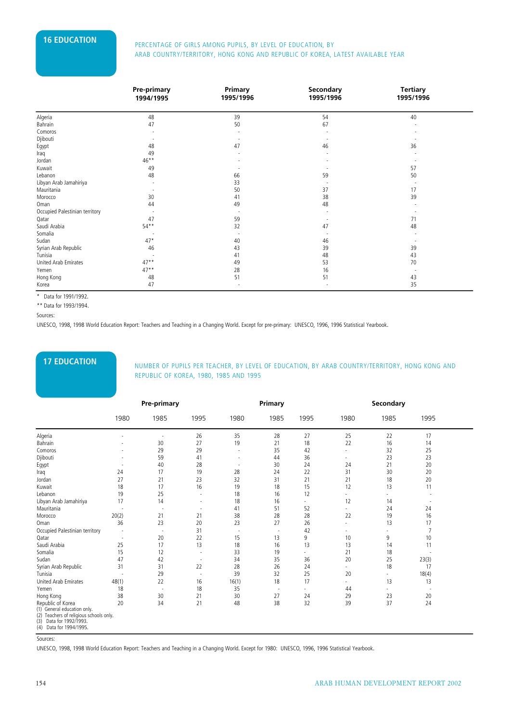# **16 EDUCATION** PERCENTAGE OF GIRLS AMONG PUPILS, BY LEVEL OF EDUCATION, BY ARAB COUNTRY/TERRITORY, HONG KONG AND REPUBLIC OF KOREA, LATEST AVAILABLE YEAR

|                                | <b>Pre-primary</b><br>1994/1995 | Primary<br>1995/1996 | Secondary<br>1995/1996 | <b>Tertiary</b><br>1995/1996 |  |
|--------------------------------|---------------------------------|----------------------|------------------------|------------------------------|--|
|                                |                                 |                      |                        |                              |  |
| Algeria                        | 48                              | 39                   | 54                     | 40                           |  |
| Bahrain                        | 47                              | 50                   | 67                     |                              |  |
| Comoros                        |                                 |                      |                        |                              |  |
| Djibouti                       |                                 |                      |                        |                              |  |
| Egypt                          | 48                              | 47                   | 46                     | 36                           |  |
| Iraq                           | 49                              |                      |                        |                              |  |
| Jordan                         | $46***$                         |                      |                        |                              |  |
| Kuwait                         | 49                              |                      |                        | 57                           |  |
| Lebanon                        | 48                              | 66                   | 59                     | 50                           |  |
| Libyan Arab Jamahiriya         |                                 | 33                   |                        |                              |  |
| Mauritania                     |                                 | 50                   | 37                     | 17                           |  |
| Morocco                        | 30                              | 41                   | 38                     | 39                           |  |
| Oman                           | 44                              | 49                   | 48                     |                              |  |
| Occupied Palestinian territory |                                 |                      |                        |                              |  |
| Qatar                          | 47                              | 59                   |                        | 71                           |  |
| Saudi Arabia                   | $54***$                         | 32                   | 47                     | 48                           |  |
| Somalia                        |                                 |                      |                        |                              |  |
| Sudan                          | $47*$                           | 40                   | 46                     |                              |  |
| Syrian Arab Republic           | 46                              | 43                   | 39                     | 39                           |  |
| Tunisia                        |                                 | 41                   | 48                     | 43                           |  |
| United Arab Emirates           | $47**$                          | 49                   | 53                     | 70                           |  |
| Yemen                          | $47**$                          | 28                   | 16                     |                              |  |
| Hong Kong                      | 48                              | 51                   | 51                     | 43                           |  |
| Korea                          | 47                              |                      |                        | 35                           |  |

\* Data for 1991/1992.

\*\* Data for 1993/1994.

Sources:

UNESCO, 1998, 1998 World Education Report: Teachers and Teaching in a Changing World. Except for pre-primary: UNESCO, 1996, 1996 Statistical Yearbook.

**17 EDUCATION** NUMBER OF PUPILS PER TEACHER, BY LEVEL OF EDUCATION, BY ARAB COUNTRY/TERRITORY, HONG KONG AND REPUBLIC OF KOREA, 1980, 1985 AND 1995

|                                                                                                                                                        |                          | <b>Pre-primary</b>       |      |                          | Primary                  |                          |                          | Secondary                |                          |  |
|--------------------------------------------------------------------------------------------------------------------------------------------------------|--------------------------|--------------------------|------|--------------------------|--------------------------|--------------------------|--------------------------|--------------------------|--------------------------|--|
|                                                                                                                                                        | 1980                     | 1985                     | 1995 | 1980                     | 1985                     | 1995                     | 1980                     | 1985                     | 1995                     |  |
| Algeria                                                                                                                                                |                          | ٠                        | 26   | 35                       | 28                       | 27                       | 25                       | 22                       | 17                       |  |
| Bahrain                                                                                                                                                |                          | 30                       | 27   | 19                       | 21                       | 18                       | 22                       | 16                       | 14                       |  |
| Comoros                                                                                                                                                |                          | 29                       | 29   | $\overline{\phantom{a}}$ | 35                       | 42                       | ٠                        | 32                       | 25                       |  |
| Djibouti                                                                                                                                               |                          | 59                       | 41   | ÷,                       | 44                       | 36                       | ٠                        | 23                       | 23                       |  |
| Egypt                                                                                                                                                  | $\overline{\phantom{a}}$ | 40                       | 28   | ٠.                       | 30                       | 24                       | 24                       | 21                       | 20                       |  |
| Iraq                                                                                                                                                   | 24                       | 17                       | 19   | 28                       | 24                       | 22                       | 31                       | 30                       | 20                       |  |
| Jordan                                                                                                                                                 | 27                       | 21                       | 23   | 32                       | 31                       | 21                       | 21                       | 18                       | 20                       |  |
| Kuwait                                                                                                                                                 | 18                       | 17                       | 16   | 19                       | 18                       | 15                       | 12                       | 13                       | 11                       |  |
| Lebanon                                                                                                                                                | 19                       | 25                       | ٠    | 18                       | 16                       | 12                       | ٠                        | ٠                        |                          |  |
| Libyan Arab Jamahiriya                                                                                                                                 | 17                       | 14                       | ٠    | 18                       | 16                       | ٠                        | 12                       | 14                       |                          |  |
| Mauritania                                                                                                                                             |                          | $\overline{\phantom{a}}$ | ٠    | 41                       | 51                       | 52                       | $\overline{\phantom{a}}$ | 24                       | 24                       |  |
| Morocco                                                                                                                                                | 20(2)                    | 21                       | 21   | 38                       | 28                       | 28                       | 22                       | 19                       | 16                       |  |
| Oman                                                                                                                                                   | 36                       | 23                       | 20   | 23                       | 27                       | 26                       | ٠                        | 13                       | 17                       |  |
| Occupied Palestinian territory                                                                                                                         |                          | ٠                        | 31   | $\overline{\phantom{a}}$ | $\overline{\phantom{a}}$ | 42                       | ٠                        | ٠                        | $\overline{7}$           |  |
| Qatar                                                                                                                                                  |                          | 20                       | 22   | 15                       | 13                       | 9                        | 10                       | 9                        | 10                       |  |
| Saudi Arabia                                                                                                                                           | 25                       | 17                       | 13   | 18                       | 16                       | 13                       | 13                       | 14                       | 11                       |  |
| Somalia                                                                                                                                                | 15                       | 12                       | ٠    | 33                       | 19                       | $\overline{\phantom{a}}$ | 21                       | 18                       |                          |  |
| Sudan                                                                                                                                                  | 47                       | 42                       | ٠    | 34                       | 35                       | 36                       | 20                       | 25                       | 23(3)                    |  |
| Syrian Arab Republic                                                                                                                                   | 31                       | 31                       | 22   | 28                       | 26                       | 24                       | $\overline{\phantom{a}}$ | 18                       | 17                       |  |
| Tunisia                                                                                                                                                |                          | 29                       | ٠    | 39                       | 32                       | 25                       | 20                       | $\overline{\phantom{a}}$ | 18(4)                    |  |
| United Arab Emirates                                                                                                                                   | 48(1)                    | 22                       | 16   | 16(1)                    | 18                       | 17                       | ٠                        | 13                       | 13                       |  |
| Yemen                                                                                                                                                  | 18                       | $\overline{\phantom{a}}$ | 18   | 35                       | $\overline{\phantom{a}}$ | $\overline{\phantom{a}}$ | 44                       | $\sim$                   | $\overline{\phantom{a}}$ |  |
| Hong Kong                                                                                                                                              | 38                       | 30                       | 21   | 30                       | 27                       | 24                       | 29                       | 23                       | 20                       |  |
| Republic of Korea<br>(1) General education only.<br>(2) Teachers of religious schools only.<br>Data for 1992/1993.<br>(3)<br>Data for 1994/1995<br>(4) | 20                       | 34                       | 21   | 48                       | 38                       | 32                       | 39                       | 37                       | 24                       |  |

Sources:

UNESCO, 1998, 1998 World Education Report: Teachers and Teaching in a Changing World. Except for 1980: UNESCO, 1996, 1996 Statistical Yearbook.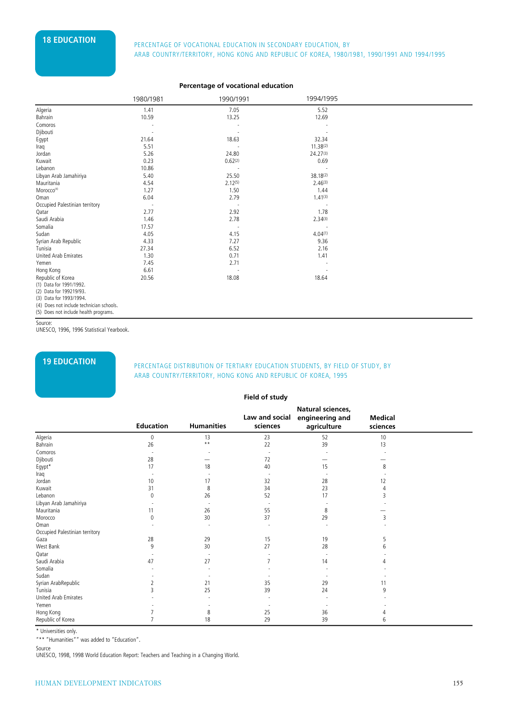# **18 EDUCATION** PERCENTAGE OF VOCATIONAL EDUCATION IN SECONDARY EDUCATION, BY ARAB COUNTRY/TERRITORY, HONG KONG AND REPUBLIC OF KOREA, 1980/1981, 1990/1991 AND 1994/1995

### **Percentage of vocational education**

|                                | 1980/1981 | 1990/1991 | 1994/1995 |  |
|--------------------------------|-----------|-----------|-----------|--|
| Algeria                        | 1.41      | 7.05      | 5.52      |  |
| Bahrain                        | 10.59     | 13.25     | 12.69     |  |
| Comoros                        |           |           |           |  |
| Djibouti                       |           |           |           |  |
| Egypt                          | 21.64     | 18.63     | 32.34     |  |
| Iraq                           | 5.51      |           | 11.38(2)  |  |
| Jordan                         | 5.26      | 24.80     | 24.27(3)  |  |
| Kuwait                         | 0.23      | 0.62(2)   | 0.69      |  |
| Lebanon                        | 10.86     |           |           |  |
| Libyan Arab Jamahiriya         | 5.40      | 25.50     | 38.18(2)  |  |
| Mauritania                     | 4.54      | 2.12(5)   | 2.46(3)   |  |
| Morocco <sup>(4)</sup>         | 1.27      | 1.50      | 1.44      |  |
| Oman                           | 6.04      | 2.79      | 1.41(3)   |  |
| Occupied Palestinian territory |           |           |           |  |
| Qatar                          | 2.77      | 2.92      | 1.78      |  |
| Saudi Arabia                   | 1.46      | 2.78      | 2.34(3)   |  |
| Somalia                        | 17.57     |           |           |  |
| Sudan                          | 4.05      | 4.15      | 4.04(1)   |  |
| Syrian Arab Republic           | 4.33      | 7.27      | 9.36      |  |
| Tunisia                        | 27.34     | 6.52      | 2.16      |  |
| United Arab Emirates           | 1.30      | 0.71      | 1.41      |  |
| Yemen                          | 7.45      | 2.71      |           |  |
| Hong Kong                      | 6.61      |           |           |  |
| Republic of Korea              | 20.56     | 18.08     | 18.64     |  |
| (1) Data for 1991/1992.        |           |           |           |  |
| (2) Data for 199219/93.        |           |           |           |  |
| (3) Data for 1993/1994.        |           |           |           |  |

(4) Does not include technician schools. (5) Does not include health programs.

Source:

UNESCO, 1996, 1996 Statistical Yearbook.

# **19 EDUCATION** PERCENTAGE DISTRIBUTION OF TERTIARY EDUCATION STUDENTS, BY FIELD OF STUDY, BY ARAB COUNTRY/TERRITORY, HONG KONG AND REPUBLIC OF KOREA, 1995

#### **Field of study**

|                                                   | engineering and |                |
|---------------------------------------------------|-----------------|----------------|
| Law and social                                    |                 | <b>Medical</b> |
| <b>Humanities</b><br><b>Education</b><br>sciences | agriculture     | sciences       |
| Algeria<br>23<br>13<br>$\Omega$                   | 52              | 10             |
| $\star\star$<br>22<br>Bahrain<br>26               | 39              | 13             |
| Comoros                                           |                 |                |
| Djibouti<br>72<br>28                              |                 |                |
| $E$ gypt*<br>17<br>18<br>40                       | 15              | 8              |
| Iraq                                              |                 |                |
| Jordan<br>32<br>10<br>17                          | 28              | 12             |
| 34<br>Kuwait<br>31<br>8                           | 23              |                |
| 26<br>52<br>Lebanon                               | 17              | 3              |
| Libyan Arab Jamahiriya                            |                 |                |
| Mauritania<br>55<br>26<br>11                      | 8               |                |
| 30<br>37<br>Morocco<br>$\Omega$                   | 29              | 3              |
| Oman                                              |                 |                |
| Occupied Palestinian territory                    |                 |                |
| 28<br>29<br>15<br>Gaza                            | 19              | 5              |
| West Bank<br>9<br>30<br>27                        | 28              | 6              |
| Qatar                                             |                 |                |
| Saudi Arabia<br>27<br>47                          | 14              |                |
| Somalia                                           |                 |                |
| Sudan                                             |                 |                |
| Syrian ArabRepublic<br>35<br>21                   | 29              | 11             |
| 39<br>Tunisia<br>25<br>ξ                          | 24              | 9              |
| United Arab Emirates                              |                 |                |
| Yemen                                             |                 |                |
| Hong Kong<br>25<br>8                              | 36              |                |
| Republic of Korea<br>29<br>18                     | 39              | b              |

\* Universities only.

"\*\* "Humanities"" was added to "Education".

Source

UNESCO, 1998, 1998 World Education Report: Teachers and Teaching in a Changing World.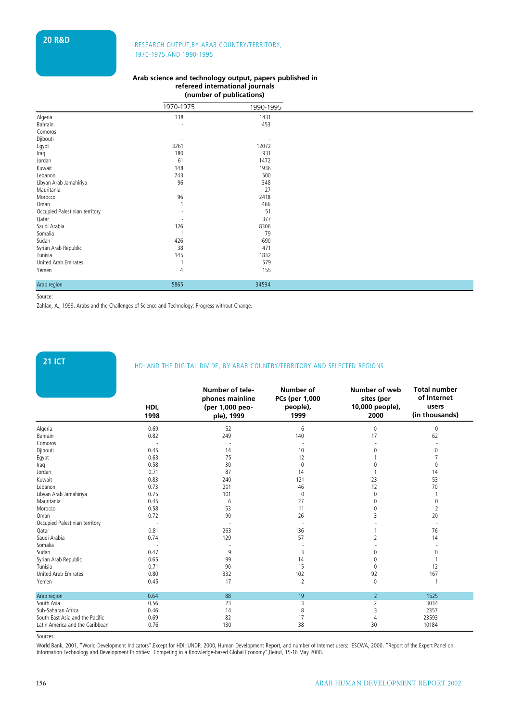# **20 R&D** RESEARCH OUTPUT,BY ARAB COUNTRY/TERRITORY, 1970-1975 AND 1990-1995

#### **Arab science and technology output, papers published in refereed international journals (number of publications)**

|                                |                | (number of publications) |  |
|--------------------------------|----------------|--------------------------|--|
|                                | 1970-1975      | 1990-1995                |  |
| Algeria                        | 338            | 1431                     |  |
| Bahrain                        |                | 453                      |  |
| Comoros                        |                |                          |  |
| Djibouti                       |                |                          |  |
| Egypt                          | 3261           | 12072                    |  |
| Iraq                           | 380            | 931                      |  |
| Jordan                         | 61             | 1472                     |  |
| Kuwait                         | 148            | 1936                     |  |
| Lebanon                        | 743            | 500                      |  |
| Libyan Arab Jamahiriya         | 96             | 348                      |  |
| Mauritania                     |                | 27                       |  |
| Morocco                        | 96             | 2418                     |  |
| Oman                           |                | 466                      |  |
| Occupied Palestinian territory |                | 51                       |  |
| Qatar                          |                | 377                      |  |
| Saudi Arabia                   | 126            | 8306                     |  |
| Somalia                        |                | 79                       |  |
| Sudan                          | 426            | 690                      |  |
| Syrian Arab Republic           | 38             | 471                      |  |
| Tunisia                        | 145            | 1832                     |  |
| United Arab Emirates           |                | 579                      |  |
| Yemen                          | $\overline{4}$ | 155                      |  |
| Arab region                    | 5865           | 34594                    |  |

Source:

Zahlan, A., 1999. Arabs and the Challenges of Science and Technology: Progress without Change.

# **21 ICT HDI AND THE DIGITAL DIVIDE, BY ARAB COUNTRY/TERRITORY AND SELECTED REGIONS**

|                                 | HDI,<br>1998 | Number of tele-<br>phones mainline<br>(per 1,000 peo-<br>ple), 1999 | Number of<br>PCs (per 1,000<br>people),<br>1999 | Number of web<br>sites (per<br>10,000 people),<br>2000 | <b>Total number</b><br>of Internet<br>users<br>(in thousands) |
|---------------------------------|--------------|---------------------------------------------------------------------|-------------------------------------------------|--------------------------------------------------------|---------------------------------------------------------------|
| Algeria                         | 0.69         | 52                                                                  | 6                                               | 0                                                      | 0                                                             |
| Bahrain                         | 0.82         | 249                                                                 | 140                                             | 17                                                     | 62                                                            |
| Comoros                         |              |                                                                     |                                                 |                                                        |                                                               |
| Djibouti                        | 0.45         | 14                                                                  | 10                                              | Λ                                                      | 0                                                             |
| Egypt                           | 0.63         | 75                                                                  | 12                                              |                                                        |                                                               |
| Iraq                            | 0.58         | 30                                                                  | $\Omega$                                        |                                                        | 0                                                             |
| Jordan                          | 0.71         | 87                                                                  | 14                                              |                                                        | 14                                                            |
| Kuwait                          | 0.83         | 240                                                                 | 121                                             | 23                                                     | 53                                                            |
| Lebanon                         | 0.73         | 201                                                                 | 46                                              | 12                                                     | 70                                                            |
| Libyan Arab Jamahiriya          | 0.75         | 101                                                                 | $\theta$                                        | 0                                                      |                                                               |
| Mauritania                      | 0.45         | 6                                                                   | 27                                              | 0                                                      | 0                                                             |
| Morocco                         | 0.58         | 53                                                                  | 11                                              | 0                                                      | $\overline{2}$                                                |
| Oman                            | 0.72         | 90                                                                  | 26                                              | 3                                                      | 20                                                            |
| Occupied Palestinian territory  |              |                                                                     |                                                 |                                                        |                                                               |
| Qatar                           | 0.81         | 263                                                                 | 136                                             |                                                        | 76                                                            |
| Saudi Arabia                    | 0.74         | 129                                                                 | 57                                              |                                                        | 14                                                            |
| Somalia                         |              |                                                                     |                                                 |                                                        |                                                               |
| Sudan                           | 0.47         | 9                                                                   | 3                                               |                                                        | $\mathbf{0}$                                                  |
| Syrian Arab Republic            | 0.65         | 99                                                                  | 14                                              |                                                        |                                                               |
| Tunisia                         | 0.71         | 90                                                                  | 15                                              | 0                                                      | 12                                                            |
| <b>United Arab Emirates</b>     | 0.80         | 332                                                                 | 102                                             | 92                                                     | 167                                                           |
| Yemen                           | 0.45         | 17                                                                  | $\overline{2}$                                  | 0                                                      |                                                               |
| Arab region                     | 0.64         | 88                                                                  | 19                                              | $\overline{2}$                                         | 1525                                                          |
| South Asia                      | 0.56         | 23                                                                  | 3                                               | $\overline{2}$                                         | 3034                                                          |
| Sub-Saharan Africa              | 0.46         | 14                                                                  | 8                                               | 3                                                      | 2357                                                          |
| South East Asia and the Pacific | 0.69         | 82                                                                  | 17                                              | 4                                                      | 23593                                                         |
| Latin America and the Caribbean | 0.76         | 130                                                                 | 38                                              | 30                                                     | 10184                                                         |

Sources:

World Bank, 2001, "World Development Indicators".Except for HDI: UNDP, 2000, Human Development Report, and number of Internet users: ESCWA, 2000. "Report of the Expert Panel on Information Technology and Development Priorities: Competing in a Knowledge-based Global Economy",Beirut, 15-16 May 2000.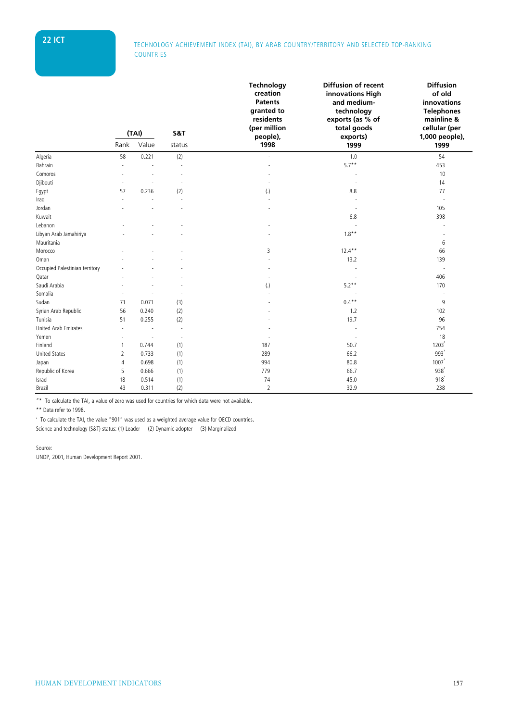# **22 ICT** TECHNOLOGY ACHIEVEMENT INDEX (TAI), BY ARAB COUNTRY/TERRITORY AND SELECTED TOP-RANKING **COUNTRIES**

|                                |                | (TAI) | S&T    | Technology<br>creation<br><b>Patents</b><br>granted to<br>residents<br>(per million<br>people), | Diffusion of recent<br>innovations High<br>and medium-<br>technology<br>exports (as % of<br>total goods<br>exports) | <b>Diffusion</b><br>of old<br>innovations<br><b>Telephones</b><br>mainline &<br>cellular (per<br>1,000 people), |  |
|--------------------------------|----------------|-------|--------|-------------------------------------------------------------------------------------------------|---------------------------------------------------------------------------------------------------------------------|-----------------------------------------------------------------------------------------------------------------|--|
|                                | Rank           | Value | status | 1998                                                                                            | 1999                                                                                                                | 1999                                                                                                            |  |
| Algeria                        | 58             | 0.221 | (2)    |                                                                                                 | 1.0                                                                                                                 | 54                                                                                                              |  |
| Bahrain                        |                |       |        |                                                                                                 | $5.7**$                                                                                                             | 453                                                                                                             |  |
| Comoros                        |                |       |        |                                                                                                 |                                                                                                                     | 10                                                                                                              |  |
| Djibouti                       |                |       |        |                                                                                                 |                                                                                                                     | 14                                                                                                              |  |
| Egypt                          | 57             | 0.236 | (2)    | $\left( .\right)$                                                                               | 8.8                                                                                                                 | 77                                                                                                              |  |
| Iraq                           |                |       |        |                                                                                                 |                                                                                                                     |                                                                                                                 |  |
| Jordan                         |                |       |        |                                                                                                 |                                                                                                                     | 105                                                                                                             |  |
| Kuwait                         |                |       |        |                                                                                                 | 6.8                                                                                                                 | 398                                                                                                             |  |
| Lebanon                        |                |       |        |                                                                                                 |                                                                                                                     |                                                                                                                 |  |
| Libyan Arab Jamahiriya         |                |       |        |                                                                                                 | $1.8**$                                                                                                             |                                                                                                                 |  |
| Mauritania                     |                |       |        |                                                                                                 |                                                                                                                     | 6                                                                                                               |  |
| Morocco                        |                |       |        | 3                                                                                               | $12.4***$                                                                                                           | 66                                                                                                              |  |
| Oman                           |                |       |        |                                                                                                 | 13.2                                                                                                                | 139                                                                                                             |  |
| Occupied Palestinian territory |                |       |        |                                                                                                 |                                                                                                                     |                                                                                                                 |  |
| Qatar                          |                |       |        |                                                                                                 |                                                                                                                     | 406                                                                                                             |  |
| Saudi Arabia                   |                |       |        | $\left( .\right)$                                                                               | $5.2**$                                                                                                             | 170                                                                                                             |  |
| Somalia                        |                |       |        |                                                                                                 |                                                                                                                     |                                                                                                                 |  |
| Sudan                          | 71             | 0.071 | (3)    |                                                                                                 | $0.4**$                                                                                                             | 9                                                                                                               |  |
| Syrian Arab Republic           | 56             | 0.240 | (2)    |                                                                                                 | 1.2                                                                                                                 | 102                                                                                                             |  |
| Tunisia                        | 51             | 0.255 | (2)    |                                                                                                 | 19.7                                                                                                                | 96                                                                                                              |  |
| <b>United Arab Emirates</b>    | ٠              |       |        |                                                                                                 |                                                                                                                     | 754                                                                                                             |  |
| Yemen                          |                |       | $\sim$ |                                                                                                 |                                                                                                                     | 18                                                                                                              |  |
| Finland                        | $\mathbf{1}$   | 0.744 | (1)    | 187                                                                                             | 50.7                                                                                                                | 1203                                                                                                            |  |
| <b>United States</b>           | $\overline{2}$ | 0.733 | (1)    | 289                                                                                             | 66.2                                                                                                                | 993'                                                                                                            |  |
| Japan                          | 4              | 0.698 | (1)    | 994                                                                                             | 80.8                                                                                                                | 1007                                                                                                            |  |
| Republic of Korea              | 5              | 0.666 | (1)    | 779                                                                                             | 66.7                                                                                                                | 938                                                                                                             |  |
| Israel                         | 18             | 0.514 | (1)    | 74                                                                                              | 45.0                                                                                                                | 918                                                                                                             |  |
| Brazil                         | 43             | 0.311 | (2)    | $\overline{2}$                                                                                  | 32.9                                                                                                                | 238                                                                                                             |  |

"\* To calculate the TAI, a value of zero was used for countries for which data were not available.

\*\* Data refer to 1998.

x To calculate the TAI, the value "901" was used as a weighted average value for OECD countries. Science and technology (S&T) status: (1) Leader (2) Dynamic adopter (3) Marginalized

#### Source:

UNDP, 2001, Human Development Report 2001.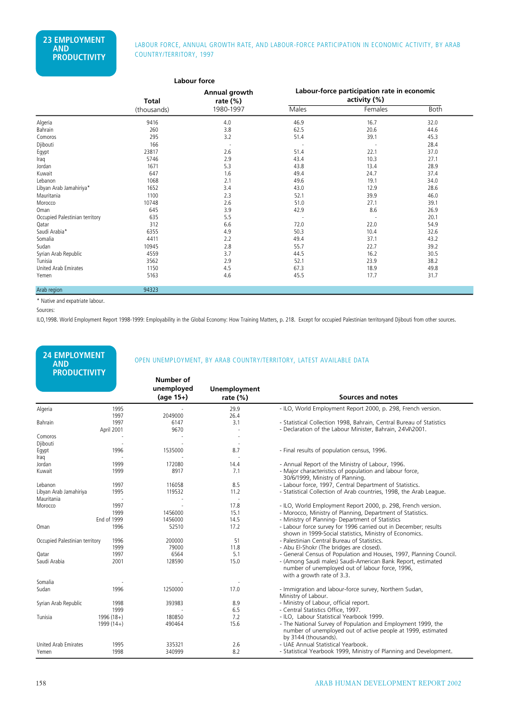### LABOUR FORCE, ANNUAL GROWTH RATE, AND LABOUR-FORCE PARTICIPATION IN ECONOMIC ACTIVITY, BY ARAB COUNTRY/TERRITORY, 1997

|                                |              | Labour force                 |                                                             |         |      |  |  |
|--------------------------------|--------------|------------------------------|-------------------------------------------------------------|---------|------|--|--|
|                                | <b>Total</b> | Annual growth<br>rate $(\%)$ | Labour-force participation rate in economic<br>activity (%) |         |      |  |  |
|                                | (thousands)  | 1980-1997                    | Males                                                       | Females | Both |  |  |
| Algeria                        | 9416         | 4.0                          | 46.9                                                        | 16.7    | 32.0 |  |  |
| Bahrain                        | 260          | 3.8                          | 62.5                                                        | 20.6    | 44.6 |  |  |
| Comoros                        | 295          | 3.2                          | 51.4                                                        | 39.1    | 45.3 |  |  |
| Djibouti                       | 166          |                              |                                                             |         | 28.4 |  |  |
| Egypt                          | 23817        | 2.6                          | 51.4                                                        | 22.1    | 37.0 |  |  |
| Iraq                           | 5746         | 2.9                          | 43.4                                                        | 10.3    | 27.1 |  |  |
| Jordan                         | 1671         | 5.3                          | 43.8                                                        | 13.4    | 28.9 |  |  |
| Kuwait                         | 647          | 1.6                          | 49.4                                                        | 24.7    | 37.4 |  |  |
| Lebanon                        | 1068         | 2.1                          | 49.6                                                        | 19.1    | 34.0 |  |  |
| Libyan Arab Jamahiriya*        | 1652         | 3.4                          | 43.0                                                        | 12.9    | 28.6 |  |  |
| Mauritania                     | 1100         | 2.3                          | 52.1                                                        | 39.9    | 46.0 |  |  |
| Morocco                        | 10748        | 2.6                          | 51.0                                                        | 27.1    | 39.1 |  |  |
| Oman                           | 645          | 3.9                          | 42.9                                                        | 8.6     | 26.9 |  |  |
| Occupied Palestinian territory | 635          | 5.5                          |                                                             |         | 20.1 |  |  |
| Qatar                          | 312          | 6.6                          | 72.0                                                        | 22.0    | 54.9 |  |  |
| Saudi Arabia*                  | 6355         | 4.9                          | 50.3                                                        | 10.4    | 32.6 |  |  |
| Somalia                        | 4411         | 2.2                          | 49.4                                                        | 37.1    | 43.2 |  |  |
| Sudan                          | 10945        | 2.8                          | 55.7                                                        | 22.7    | 39.2 |  |  |
| Syrian Arab Republic           | 4559         | 3.7                          | 44.5                                                        | 16.2    | 30.5 |  |  |
| Tunisia                        | 3562         | 2.9                          | 52.1                                                        | 23.9    | 38.2 |  |  |
| United Arab Emirates           | 1150         | 4.5                          | 67.3                                                        | 18.9    | 49.8 |  |  |
| Yemen                          | 5163         | 4.6                          | 45.5                                                        | 17.7    | 31.7 |  |  |
| Arab region                    | 94323        |                              |                                                             |         |      |  |  |

\* Native and expatriate labour.

Sources:

ILO,1998. World Employment Report 1998-1999: Employability in the Global Economy: How Training Matters, p. 218. Except for occupied Palestinian territoryand Djibouti from other sources.

| <b>24 EMPLOYMENT</b><br><b>AND</b><br><b>PRODUCTIVITY</b> |                    |                                        |                             | OPEN UNEMPLOYMENT, BY ARAB COUNTRY/TERRITORY, LATEST AVAILABLE DATA                                                                                  |
|-----------------------------------------------------------|--------------------|----------------------------------------|-----------------------------|------------------------------------------------------------------------------------------------------------------------------------------------------|
|                                                           |                    | Number of<br>unemployed<br>$(aqe 15+)$ | Unemployment<br>rate $(\%)$ | Sources and notes                                                                                                                                    |
| Algeria                                                   | 1995<br>1997       | 2049000                                | 29.9<br>26.4                | - ILO, World Employment Report 2000, p. 298, French version.                                                                                         |
| Bahrain                                                   | 1997<br>April 2001 | 6147<br>9670                           | 3.1<br>L.                   | - Statistical Collection 1998, Bahrain, Central Bureau of Statistics<br>- Declaration of the Labour Minister, Bahrain, 24\4\2001.                    |
| Comoros                                                   |                    |                                        |                             |                                                                                                                                                      |
| Djibouti                                                  |                    |                                        |                             |                                                                                                                                                      |
| Egypt                                                     | 1996               | 1535000                                | 8.7                         | - Final results of population census, 1996.                                                                                                          |
| Iraq                                                      |                    |                                        |                             |                                                                                                                                                      |
| Jordan                                                    | 1999               | 172080                                 | 14.4                        | - Annual Report of the Ministry of Labour, 1996.                                                                                                     |
| Kuwait                                                    | 1999               | 8917                                   | 7.1                         | - Major characteristics of population and labour force,<br>30/6/1999, Ministry of Planning.                                                          |
| Lebanon                                                   | 1997               | 116058                                 | 8.5                         | - Labour force, 1997, Central Department of Statistics.                                                                                              |
| Libyan Arab Jamahiriya                                    | 1995               | 119532                                 | 11.2                        | - Statistical Collection of Arab countries, 1998, the Arab League.                                                                                   |
| Mauritania                                                |                    |                                        | ÷,                          |                                                                                                                                                      |
| Morocco                                                   | 1997               |                                        | 17.8                        | - ILO, World Employment Report 2000, p. 298, French version.                                                                                         |
|                                                           | 1999               | 1456000                                | 15.1                        | - Morocco, Ministry of Planning, Department of Statistics.                                                                                           |
|                                                           | End of 1999        | 1456000                                | 14.5                        | - Ministry of Planning- Department of Statistics                                                                                                     |
| Oman                                                      | 1996               | 52510                                  | 17.2                        | - Labour force survey for 1996 carried out in December; results<br>shown in 1999-Social statistics, Ministry of Economics.                           |
| Occupied Palestinian territory                            | 1996               | 200000                                 | 51                          | - Palestinian Central Bureau of Statistics.                                                                                                          |
|                                                           | 1999               | 79000                                  | 11.8                        | - Abu El-Shokr (The bridges are closed).                                                                                                             |
| Oatar                                                     | 1997               | 6564                                   | 5.1                         | - General Census of Population and Houses, 1997, Planning Council.                                                                                   |
| Saudi Arabia<br>Somalia                                   | 2001               | 128590                                 | 15.0                        | - (Among Saudi males) Saudi-American Bank Report, estimated<br>number of unemployed out of labour force, 1996,<br>with a growth rate of 3.3.         |
|                                                           | 1996               | 1250000                                | 17.0                        |                                                                                                                                                      |
| Sudan                                                     |                    |                                        |                             | - Immigration and labour-force survey, Northern Sudan,<br>Ministry of Labour.                                                                        |
| Syrian Arab Republic                                      | 1998               | 393983                                 | 8.9                         | - Ministry of Labour, official report.                                                                                                               |
|                                                           | 1999               |                                        | 6.5                         | - Central Statistics Office, 1997.                                                                                                                   |
| Tunisia                                                   | $1996(18+)$        | 180850                                 | 7.2                         | - ILO, Labour Statistical Yearbook 1999.                                                                                                             |
|                                                           | $1999(14+)$        | 490464                                 | 15.6                        | - The National Survey of Population and Employment 1999, the<br>number of unemployed out of active people at 1999, estimated<br>by 3144 (thousands). |
| United Arab Emirates                                      | 1995               | 335321                                 | 2.6                         | - UAE Annual Statistical Yearbook.                                                                                                                   |
| Yemen                                                     | 1998               | 340999                                 | 8.2                         | - Statistical Yearbook 1999, Ministry of Planning and Development.                                                                                   |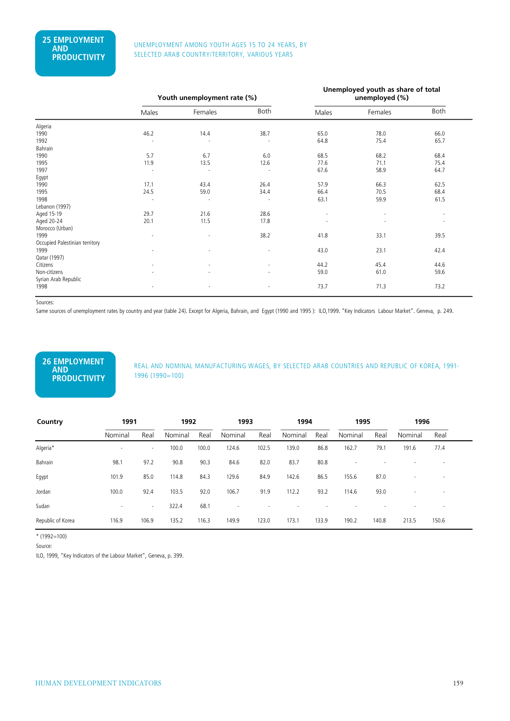#### UNEMPLOYMENT AMONG YOUTH AGES 15 TO 24 YEARS, BY SELECTED ARAB COUNTRY/TERRITORY, VARIOUS YEARS

|                                |                          | Youth unemployment rate (%) |                          | Unemployed youth as share of total<br>unemployed (%) |         |      |  |
|--------------------------------|--------------------------|-----------------------------|--------------------------|------------------------------------------------------|---------|------|--|
|                                | Males                    | Females                     | <b>Both</b>              | Males                                                | Females | Both |  |
| Algeria                        |                          |                             |                          |                                                      |         |      |  |
| 1990                           | 46.2                     | 14.4                        | 38.7                     | 65.0                                                 | 78.0    | 66.0 |  |
| 1992                           |                          |                             |                          | 64.8                                                 | 75.4    | 65.7 |  |
| Bahrain                        |                          |                             |                          |                                                      |         |      |  |
| 1990                           | 5.7                      | 6.7                         | 6.0                      | 68.5                                                 | 68.2    | 68.4 |  |
| 1995                           | 11.9                     | 13.5                        | 12.6                     | 77.6                                                 | 71.1    | 75.4 |  |
| 1997                           | ÷,                       |                             |                          | 67.6                                                 | 58.9    | 64.7 |  |
| Egypt                          |                          |                             |                          |                                                      |         |      |  |
| 1990                           | 17.1                     | 43.4                        | 26.4                     | 57.9                                                 | 66.3    | 62.5 |  |
| 1995                           | 24.5                     | 59.0                        | 34.4                     | 66.4                                                 | 70.5    | 68.4 |  |
| 1998                           | $\overline{\phantom{a}}$ | $\sim$                      | $\overline{\phantom{a}}$ | 63.1                                                 | 59.9    | 61.5 |  |
| Lebanon (1997)                 |                          |                             |                          |                                                      |         |      |  |
| Aged 15-19                     | 29.7                     | 21.6                        | 28.6                     | ٠                                                    |         |      |  |
| Aged 20-24                     | 20.1                     | 11.5                        | 17.8                     |                                                      |         |      |  |
| Morocco (Urban)                |                          |                             |                          |                                                      |         |      |  |
| 1999                           |                          |                             | 38.2                     | 41.8                                                 | 33.1    | 39.5 |  |
| Occupied Palestinian territory |                          |                             |                          |                                                      |         |      |  |
| 1999                           |                          |                             | ٠                        | 43.0                                                 | 23.1    | 42.4 |  |
| Qatar (1997)                   |                          |                             |                          |                                                      |         |      |  |
| Citizens                       | ٠                        |                             | ٠                        | 44.2                                                 | 45.4    | 44.6 |  |
| Non-citizens                   | ٠                        |                             |                          | 59.0                                                 | 61.0    | 59.6 |  |
| Syrian Arab Republic           |                          |                             |                          |                                                      |         |      |  |
| 1998                           |                          |                             |                          | 73.7                                                 | 71.3    | 73.2 |  |
|                                |                          |                             |                          |                                                      |         |      |  |

Sources:

Same sources of unemployment rates by country and year (table 24). Except for Algeria, Bahrain, and Egypt (1990 and 1995 ): ILO,1999. "Key Indicators Labour Market". Geneva, p. 249.

### **26 EMPLOYMENT AND PRODUCTIVITY**

REAL AND NOMINAL MANUFACTURING WAGES, BY SELECTED ARAB COUNTRIES AND REPUBLIC OF KOREA, 1991- 1996 (1990=100)

| Country           | 1991    |        | 1992    |       | 1993    |       | 1994    |       | 1995    |       | 1996    |                          |
|-------------------|---------|--------|---------|-------|---------|-------|---------|-------|---------|-------|---------|--------------------------|
|                   | Nominal | Real   | Nominal | Real  | Nominal | Real  | Nominal | Real  | Nominal | Real  | Nominal | Real                     |
| Algeria*          | $\sim$  | $\sim$ | 100.0   | 100.0 | 124.6   | 102.5 | 139.0   | 86.8  | 162.7   | 79.1  | 191.6   | 77.4                     |
| Bahrain           | 98.1    | 97.2   | 90.8    | 90.3  | 84.6    | 82.0  | 83.7    | 80.8  |         |       |         |                          |
| Egypt             | 101.9   | 85.0   | 114.8   | 84.3  | 129.6   | 84.9  | 142.6   | 86.5  | 155.6   | 87.0  |         | $\overline{\phantom{a}}$ |
| Jordan            | 100.0   | 92.4   | 103.5   | 92.0  | 106.7   | 91.9  | 112.2   | 93.2  | 114.6   | 93.0  |         | $\overline{\phantom{a}}$ |
| Sudan             | $\sim$  | $\sim$ | 322.4   | 68.1  |         |       |         |       |         |       |         | $\overline{\phantom{a}}$ |
| Republic of Korea | 116.9   | 106.9  | 135.2   | 116.3 | 149.9   | 123.0 | 173.1   | 133.9 | 190.2   | 140.8 | 213.5   | 150.6                    |

\* (1992=100)

Source:

ILO, 1999, "Key Indicators of the Labour Market", Geneva, p. 399.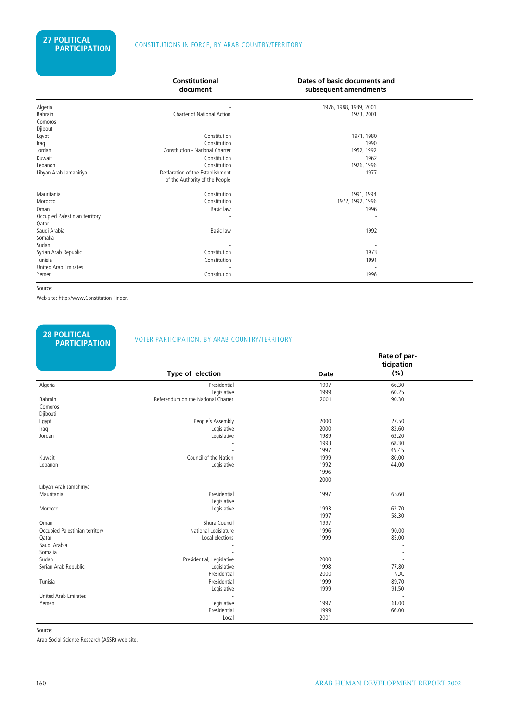|                                      | <b>Constitutional</b><br>document                                  | Dates of basic documents and<br>subsequent amendments |  |
|--------------------------------------|--------------------------------------------------------------------|-------------------------------------------------------|--|
| Algeria<br>Bahrain                   | Charter of National Action                                         | 1976, 1988, 1989, 2001<br>1973, 2001                  |  |
| Comoros                              |                                                                    |                                                       |  |
| Djibouti                             |                                                                    |                                                       |  |
| Egypt                                | Constitution                                                       | 1971, 1980                                            |  |
| Iraq                                 | Constitution                                                       | 1990                                                  |  |
| Jordan                               | Constitution - National Charter                                    | 1952, 1992                                            |  |
| Kuwait                               | Constitution                                                       | 1962                                                  |  |
| Lebanon                              | Constitution                                                       | 1926, 1996                                            |  |
| Libyan Arab Jamahiriya               | Declaration of the Establishment<br>of the Authority of the People | 1977                                                  |  |
| Mauritania                           | Constitution                                                       | 1991, 1994                                            |  |
| Morocco                              | Constitution                                                       | 1972, 1992, 1996                                      |  |
| Oman                                 | Basic law                                                          | 1996                                                  |  |
| Occupied Palestinian territory       |                                                                    |                                                       |  |
| Qatar                                |                                                                    |                                                       |  |
| Saudi Arabia                         | Basic law                                                          | 1992                                                  |  |
| Somalia                              |                                                                    |                                                       |  |
| Sudan                                |                                                                    |                                                       |  |
| Syrian Arab Republic                 | Constitution                                                       | 1973                                                  |  |
| Tunisia                              | Constitution                                                       | 1991                                                  |  |
| <b>United Arab Emirates</b><br>Yemen | Constitution                                                       | 1996                                                  |  |

Source:

Web site: http://www.Constitution Finder.

**28 POLITICAL** 

### **PARTICIPATION** VOTER PARTICIPATION, BY ARAB COUNTRY/TERRITORY

|                                |                                    |             | Rate of par- |  |
|--------------------------------|------------------------------------|-------------|--------------|--|
|                                |                                    |             | ticipation   |  |
|                                | Type of election                   | <b>Date</b> | (%)          |  |
| Algeria                        | Presidential                       | 1997        | 66.30        |  |
|                                | Legislative                        | 1999        | 60.25        |  |
| Bahrain                        | Referendum on the National Charter | 2001        | 90.30        |  |
| Comoros                        |                                    |             |              |  |
| Djibouti                       |                                    |             |              |  |
| Egypt                          | People's Assembly                  | 2000        | 27.50        |  |
| Iraq                           | Legislative                        | 2000        | 83.60        |  |
| Jordan                         | Legislative                        | 1989        | 63.20        |  |
|                                |                                    | 1993        | 68.30        |  |
|                                |                                    | 1997        | 45.45        |  |
| Kuwait                         | Council of the Nation              | 1999        | 80.00        |  |
| Lebanon                        | Legislative                        | 1992        | 44.00        |  |
|                                |                                    | 1996        |              |  |
|                                |                                    | 2000        |              |  |
| Libyan Arab Jamahiriya         |                                    |             |              |  |
| Mauritania                     | Presidential                       | 1997        | 65.60        |  |
|                                | Legislative                        |             |              |  |
| Morocco                        | Legislative                        | 1993        | 63.70        |  |
|                                |                                    | 1997        | 58.30        |  |
| Oman                           | Shura Council                      | 1997        |              |  |
| Occupied Palestinian territory | National Legislature               | 1996        | 90.00        |  |
| Qatar                          | Local elections                    | 1999        | 85.00        |  |
| Saudi Arabia                   |                                    |             |              |  |
| Somalia                        |                                    |             |              |  |
| Sudan                          | Presidential, Legislative          | 2000        |              |  |
| Syrian Arab Republic           | Legislative                        | 1998        | 77.80        |  |
|                                | Presidential                       | 2000        | N.A.         |  |
| Tunisia                        | Presidential                       | 1999        | 89.70        |  |
|                                | Legislative                        | 1999        | 91.50        |  |
| <b>United Arab Emirates</b>    |                                    |             |              |  |
| Yemen                          | Legislative                        | 1997        | 61.00        |  |
|                                | Presidential                       | 1999        | 66.00        |  |
|                                | Local                              | 2001        |              |  |

Source:

Arab Social Science Research (ASSR) web site.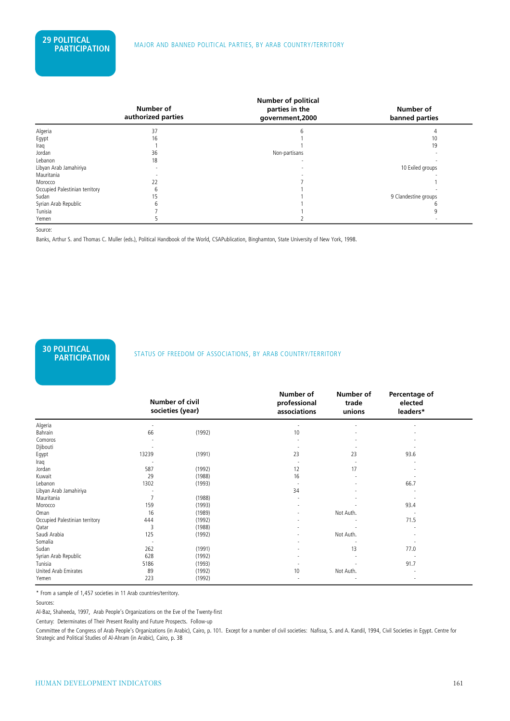|                                | Number of<br>authorized parties | Number of political<br>parties in the<br>government, 2000 | Number of<br>banned parties |
|--------------------------------|---------------------------------|-----------------------------------------------------------|-----------------------------|
| Algeria                        | 37                              |                                                           |                             |
| Egypt                          | 16                              |                                                           | 10                          |
| Iraq                           |                                 |                                                           | 19                          |
| Jordan                         | 36                              | Non-partisans                                             |                             |
| Lebanon                        | 18                              |                                                           |                             |
| Libyan Arab Jamahiriya         |                                 |                                                           | 10 Exiled groups            |
| Mauritania                     |                                 |                                                           |                             |
| Morocco                        | 22                              |                                                           |                             |
| Occupied Palestinian territory |                                 |                                                           |                             |
| Sudan                          |                                 |                                                           | 9 Clandestine groups        |
| Syrian Arab Republic           |                                 |                                                           |                             |
| Tunisia                        |                                 |                                                           |                             |
| Yemen                          |                                 |                                                           |                             |

Source:

Banks, Arthur S. and Thomas C. Muller (eds.), Political Handbook of the World, CSAPublication, Binghamton, State University of New York, 1998.

# **30 POLITICAL**

#### **STATUS OF FREEDOM OF ASSOCIATIONS, BY ARAB COUNTRY/TERRITORY**

|                                | Number of civil<br>societies (year) |        | Number of<br>professional<br>associations | Number of<br>trade<br>unions | Percentage of<br>elected<br>leaders* |  |
|--------------------------------|-------------------------------------|--------|-------------------------------------------|------------------------------|--------------------------------------|--|
| Algeria                        |                                     |        |                                           |                              |                                      |  |
| Bahrain                        | 66                                  | (1992) | 10                                        |                              |                                      |  |
| Comoros                        |                                     |        |                                           |                              |                                      |  |
| Djibouti                       |                                     |        |                                           |                              |                                      |  |
| Egypt                          | 13239                               | (1991) | 23                                        | 23                           | 93.6                                 |  |
| Iraq                           |                                     |        |                                           |                              |                                      |  |
| Jordan                         | 587                                 | (1992) | 12                                        | 17                           |                                      |  |
| Kuwait                         | 29                                  | (1988) | 16                                        |                              |                                      |  |
| Lebanon                        | 1302                                | (1993) |                                           |                              | 66.7                                 |  |
| Libyan Arab Jamahiriya         |                                     |        | 34                                        |                              |                                      |  |
| Mauritania                     | $\overline{7}$                      | (1988) |                                           |                              |                                      |  |
| Morocco                        | 159                                 | (1993) |                                           |                              | 93.4                                 |  |
| Oman                           | 16                                  | (1989) |                                           | Not Auth.                    |                                      |  |
| Occupied Palestinian territory | 444                                 | (1992) |                                           |                              | 71.5                                 |  |
| Qatar                          | 3                                   | (1988) |                                           |                              |                                      |  |
| Saudi Arabia                   | 125                                 | (1992) |                                           | Not Auth.                    |                                      |  |
| Somalia                        |                                     |        |                                           |                              |                                      |  |
| Sudan                          | 262                                 | (1991) |                                           | 13                           | 77.0                                 |  |
| Syrian Arab Republic           | 628                                 | (1992) |                                           |                              |                                      |  |
| Tunisia                        | 5186                                | (1993) |                                           |                              | 91.7                                 |  |
| United Arab Emirates           | 89                                  | (1992) | 10                                        | Not Auth.                    |                                      |  |
| Yemen                          | 223                                 | (1992) |                                           |                              |                                      |  |

\* From a sample of 1,457 societies in 11 Arab countries/territory.

Sources:

Al-Baz, Shaheeda, 1997, Arab People's Organizations on the Eve of the Twenty-first

Century: Determinates of Their Present Reality and Future Prospects. Follow-up

Committee of the Congress of Arab People's Organizations (in Arabic), Cairo, p. 101. Except for a number of civil societies: Nafissa, S. and A. Kandil, 1994, Civil Societies in Egypt. Centre for Strategic and Political Studies of Al-Ahram (in Arabic), Cairo, p. 38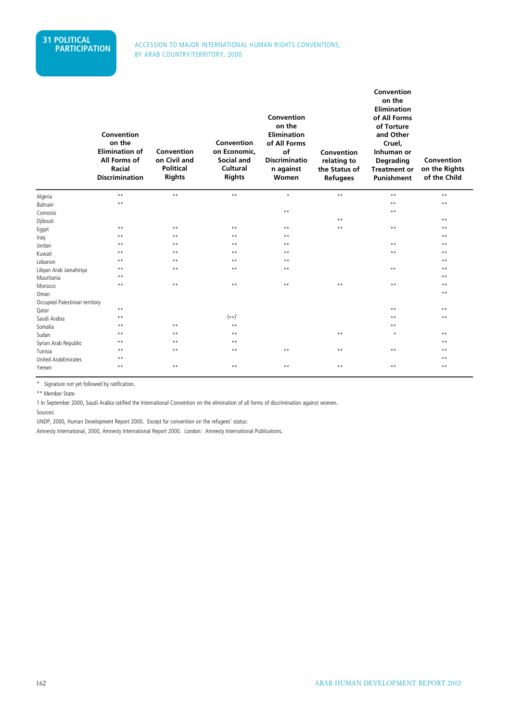#### ACCESSION TO MAJOR INTERNATIONAL HUMAN RIGHTS CONVENTIONS, BY ARAB COUNTRY/TERRITORY, 2000

|                                | Convention<br>on the<br><b>Elimination of</b><br>All Forms of<br>Racial<br><b>Discrimination</b> | Convention<br>on Civil and<br><b>Political</b><br><b>Rights</b> | Convention<br>on Economic,<br>Social and<br>Cultural<br><b>Rights</b> | Convention<br>on the<br><b>Elimination</b><br>of All Forms<br>of<br><b>Discriminatio</b><br>n against<br>Women | Convention<br>relating to<br>the Status of<br><b>Refugees</b> | Convention<br>on the<br><b>Elimination</b><br>of All Forms<br>of Torture<br>and Other<br>Cruel,<br>Inhuman or<br><b>Degrading</b><br><b>Treatment or</b><br><b>Punishment</b> | Convention<br>on the Rights<br>of the Child |
|--------------------------------|--------------------------------------------------------------------------------------------------|-----------------------------------------------------------------|-----------------------------------------------------------------------|----------------------------------------------------------------------------------------------------------------|---------------------------------------------------------------|-------------------------------------------------------------------------------------------------------------------------------------------------------------------------------|---------------------------------------------|
| Algeria                        | $\star\star$                                                                                     | $\star\,\star$                                                  | $\star\,\star$                                                        | $\star$                                                                                                        | $\star\,\star$                                                | $\star\star$                                                                                                                                                                  | $\star\star$                                |
| Bahrain                        | $\star\star$                                                                                     |                                                                 |                                                                       |                                                                                                                |                                                               | $\star\star$                                                                                                                                                                  | $\star\star$                                |
| Comoros                        |                                                                                                  |                                                                 |                                                                       | $\star\,\star$                                                                                                 |                                                               | $\star\star$                                                                                                                                                                  |                                             |
| Djibouti                       |                                                                                                  |                                                                 |                                                                       |                                                                                                                | $\star$ $\star$                                               |                                                                                                                                                                               | $***$                                       |
| Egypt                          | $\star\star$                                                                                     | $\star\star$                                                    | $\star\star$                                                          | $\star\star$                                                                                                   | $\star$ $\star$                                               | $\star\star$                                                                                                                                                                  | $* *$                                       |
| Iraq                           | $\star\star$                                                                                     | $***$                                                           | $\star\star$                                                          | $***$                                                                                                          |                                                               |                                                                                                                                                                               | $***$                                       |
| Jordan                         | $\star\star$                                                                                     | $\star\star$                                                    | $\star\star$                                                          | $***$                                                                                                          |                                                               | $\star\star$                                                                                                                                                                  | $**$                                        |
| Kuwait                         | $***$                                                                                            | $***$                                                           | $***$                                                                 | $***$                                                                                                          |                                                               | $\star\star$                                                                                                                                                                  | $***$                                       |
| Lebanon                        | $\star\star$                                                                                     | $***$                                                           | $\star\star$                                                          | $\star\star$                                                                                                   |                                                               |                                                                                                                                                                               | $\star\star$                                |
| Libyan Arab Jamahiriya         | $***$                                                                                            | $\star\star$                                                    | $\star\star$                                                          | $***$                                                                                                          |                                                               | $\star\star$                                                                                                                                                                  | $***$                                       |
| Mauritania                     | $\star\star$                                                                                     |                                                                 |                                                                       |                                                                                                                |                                                               |                                                                                                                                                                               | $\star\star$                                |
| Morocco                        | $\star\star$                                                                                     | $\star\star$                                                    | $\star\star$                                                          | $***$                                                                                                          | $\star\star$                                                  | $\star\star$                                                                                                                                                                  | $\star\star$                                |
| Oman                           |                                                                                                  |                                                                 |                                                                       |                                                                                                                |                                                               |                                                                                                                                                                               | $* *$                                       |
| Occupied Palestinian territory |                                                                                                  |                                                                 |                                                                       |                                                                                                                |                                                               |                                                                                                                                                                               |                                             |
| Qatar                          | $\star\star$                                                                                     |                                                                 |                                                                       |                                                                                                                |                                                               | $\star\star$                                                                                                                                                                  | $***$                                       |
| Saudi Arabia                   | $\star\star$                                                                                     |                                                                 | $(\star \star)^1$                                                     |                                                                                                                |                                                               | $***$                                                                                                                                                                         | $* *$                                       |
| Somalia                        | $\star\star$                                                                                     | $\star\star$                                                    | $\star\star$                                                          |                                                                                                                |                                                               | $\star\star$                                                                                                                                                                  |                                             |
| Sudan                          | $***$                                                                                            | $***$                                                           | $**$                                                                  |                                                                                                                | $\star\star$                                                  | $\star$                                                                                                                                                                       | $\star\star$                                |
| Syrian Arab Republic           | $\star\star$                                                                                     | $\star\star$                                                    | $\star\star$                                                          |                                                                                                                |                                                               |                                                                                                                                                                               | $\star\star$                                |
| Tunisia                        | $\star\star$                                                                                     | $\star\star$                                                    | $\star\star$                                                          | $\star\star$                                                                                                   | $***$                                                         | $***$                                                                                                                                                                         | $\star\star$                                |
| <b>United ArabEmirates</b>     | $* *$                                                                                            |                                                                 |                                                                       |                                                                                                                |                                                               |                                                                                                                                                                               | $\star\star$                                |
| Yemen                          | $\star\star$                                                                                     | $***$                                                           | $\star\star$                                                          | $\star\star$                                                                                                   | $***$                                                         | $\star\star$                                                                                                                                                                  | $\star\star$                                |

\* Signature not yet followed by ratification.

\*\* Member State

1 In September 2000, Saudi Arabia ratified the International Convention on the elimination of all forms of discrimination against women.

Sources:

UNDP, 2000, Human Development Report 2000. Except for convention on the refugees' status:

Amnesty International, 2000, Amnesty International Report 2000. London: Amnesty International Publications.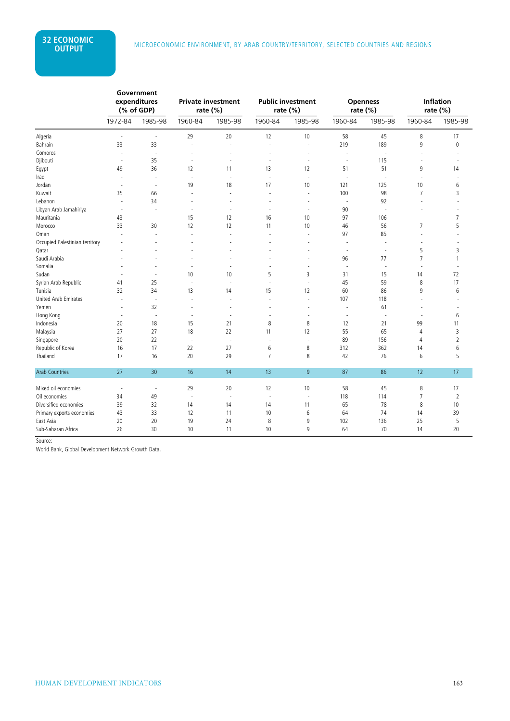|                                | Government<br>expenditures<br>(% of GDP) |                          | <b>Private investment</b><br>rate $(\%)$ |                          |                          | <b>Public investment</b><br>rate (%) | rate (%)                 | <b>Openness</b> | <b>Inflation</b><br>rate (%) |                |
|--------------------------------|------------------------------------------|--------------------------|------------------------------------------|--------------------------|--------------------------|--------------------------------------|--------------------------|-----------------|------------------------------|----------------|
|                                | 1972-84                                  | 1985-98                  | 1960-84                                  | 1985-98                  | 1960-84                  | 1985-98                              | 1960-84                  | 1985-98         | 1960-84                      | 1985-98        |
| Algeria                        | $\overline{\phantom{a}}$                 | $\sim$                   | 29                                       | 20                       | 12                       | 10                                   | 58                       | 45              | 8                            | 17             |
| Bahrain                        | 33                                       | 33                       | $\sim$                                   | ÷,                       | ÷,                       | $\sim$                               | 219                      | 189             | 9                            | $\mathbf{0}$   |
| Comoros                        |                                          | ÷.                       |                                          | ÷.                       |                          | ÷,                                   | ä,                       |                 |                              |                |
| Djibouti                       | $\sim$                                   | 35                       | $\sim$                                   | ÷,                       | ÷,                       | ÷,                                   | $\sim$                   | 115             | ÷,                           |                |
| Egypt                          | 49                                       | 36                       | 12                                       | 11                       | 13                       | 12                                   | 51                       | 51              | 9                            | 14             |
| Iraq                           |                                          | ÷,                       |                                          | J.                       | J.                       | ä,                                   | $\sim$                   |                 |                              |                |
| Jordan                         |                                          | $\overline{a}$           | 19                                       | 18                       | 17                       | 10                                   | 121                      | 125             | 10                           | 6              |
| Kuwait                         | 35                                       | 66                       |                                          | ä,                       | ٠                        | ÷,                                   | 100                      | 98              | 7                            | 3              |
| Lebanon                        |                                          | 34                       |                                          |                          |                          |                                      |                          | 92              |                              |                |
| Libyan Arab Jamahiriya         |                                          | $\overline{\phantom{a}}$ |                                          | ÷,                       |                          | ٠                                    | 90                       |                 |                              |                |
| Mauritania                     | 43                                       | $\sim$                   | 15                                       | 12                       | 16                       | 10                                   | 97                       | 106             | ٠                            | $\overline{7}$ |
| Morocco                        | 33                                       | 30                       | 12                                       | 12                       | 11                       | 10                                   | 46                       | 56              | $\overline{7}$               | 5              |
| Oman                           |                                          |                          |                                          | ä,                       |                          |                                      | 97                       | 85              |                              |                |
| Occupied Palestinian territory |                                          |                          |                                          |                          |                          |                                      | ä,                       |                 |                              |                |
| Qatar                          |                                          |                          |                                          |                          |                          |                                      | $\sim$                   | ÷,              | 5                            | 3              |
| Saudi Arabia                   |                                          |                          |                                          |                          |                          |                                      | 96                       | 77              | $\overline{7}$               | $\mathbf{1}$   |
| Somalia                        |                                          |                          |                                          | ä,                       |                          | ٠                                    | $\overline{\phantom{a}}$ |                 |                              |                |
| Sudan                          |                                          |                          | 10                                       | 10                       | 5                        | 3                                    | 31                       | 15              | 14                           | 72             |
| Syrian Arab Republic           | 41                                       | 25                       | ÷.                                       | ÷.                       | ÷.                       | $\ddot{\phantom{1}}$                 | 45                       | 59              | 8                            | 17             |
| Tunisia                        | 32                                       | 34                       | 13                                       | 14                       | 15                       | 12                                   | 60                       | 86              | 9                            | 6              |
| <b>United Arab Emirates</b>    |                                          | $\overline{\phantom{a}}$ | $\overline{\phantom{a}}$                 | $\ddot{\phantom{1}}$     |                          | ÷,                                   | 107                      | 118             |                              |                |
| Yemen                          | $\sim$                                   | 32                       |                                          | ÷.                       |                          | ä,                                   | ÷,                       | 61              |                              |                |
| Hong Kong                      |                                          | $\sim$                   |                                          |                          |                          | J.                                   | $\ddot{\phantom{1}}$     |                 |                              | 6              |
| Indonesia                      | 20                                       | 18                       | 15                                       | 21                       | 8                        | 8                                    | 12                       | 21              | 99                           | 11             |
| Malaysia                       | 27                                       | 27                       | 18                                       | 22                       | 11                       | 12                                   | 55                       | 65              | 4                            | 3              |
| Singapore                      | 20                                       | 22                       | ÷,                                       | $\sim$                   | $\overline{\phantom{a}}$ | ÷,                                   | 89                       | 156             | 4                            | $\sqrt{2}$     |
| Republic of Korea              | 16                                       | 17                       | 22                                       | 27                       | 6                        | 8                                    | 312                      | 362             | 14                           | 6              |
| Thailand                       | 17                                       | 16                       | 20                                       | 29                       | $\overline{7}$           | 8                                    | 42                       | 76              | 6                            | 5              |
| <b>Arab Countries</b>          | 27                                       | 30                       | 16                                       | 14                       | 13                       | 9                                    | 87                       | 86              | 12                           | 17             |
| Mixed oil economies            | $\sim$                                   | $\overline{\phantom{a}}$ | 29                                       | 20                       | 12                       | 10                                   | 58                       | 45              | 8                            | 17             |
| Oil economies                  | 34                                       | 49                       | $\overline{\phantom{a}}$                 | $\overline{\phantom{a}}$ | $\overline{\phantom{a}}$ | ÷,                                   | 118                      | 114             | $\overline{7}$               | $\overline{2}$ |
| Diversified economies          | 39                                       | 32                       | 14                                       | 14                       | 14                       | 11                                   | 65                       | 78              | 8                            | 10             |
| Primary exports economies      | 43                                       | 33                       | 12                                       | 11                       | 10                       | 6                                    | 64                       | 74              | 14                           | 39             |
| East Asia                      | 20                                       | 20                       | 19                                       | 24                       | 8                        | 9                                    | 102                      | 136             | 25                           | 5              |
| Sub-Saharan Africa             | 26                                       | 30                       | 10                                       | 11                       | 10                       | 9                                    | 64                       | 70              | 14                           | 20             |

Source:

World Bank, Global Development Network Growth Data.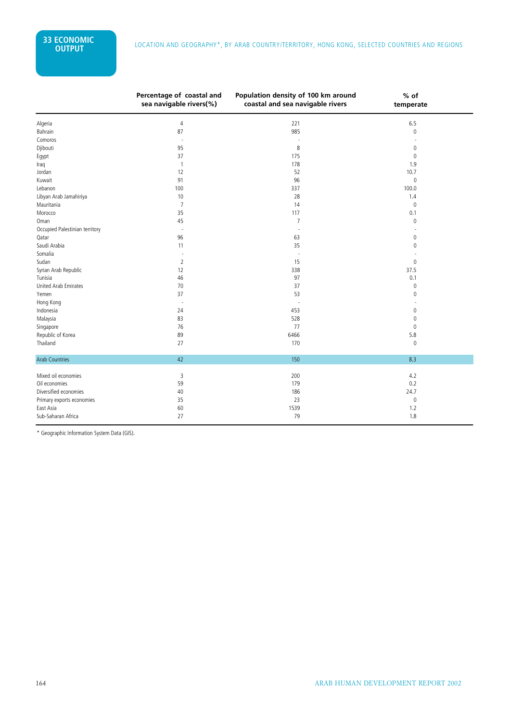|                                | Percentage of coastal and<br>sea navigable rivers(%) | Population density of 100 km around<br>coastal and sea navigable rivers | $%$ of<br>temperate |  |
|--------------------------------|------------------------------------------------------|-------------------------------------------------------------------------|---------------------|--|
| Algeria                        | 4                                                    | 221                                                                     | 6.5                 |  |
| Bahrain                        | 87                                                   | 985                                                                     | $\mathsf 0$         |  |
| Comoros                        | ٠                                                    |                                                                         |                     |  |
| Djibouti                       | 95                                                   | 8                                                                       | $\mathbf{0}$        |  |
| Egypt                          | 37                                                   | 175                                                                     | $\mathbf 0$         |  |
| Iraq                           | 1                                                    | 178                                                                     | 1.9                 |  |
| Jordan                         | 12                                                   | 52                                                                      | 10.7                |  |
| Kuwait                         | 91                                                   | 96                                                                      | $\mathbb O$         |  |
| Lebanon                        | 100                                                  | 337                                                                     | 100.0               |  |
| Libyan Arab Jamahiriya         | 10                                                   | 28                                                                      | 1.4                 |  |
| Mauritania                     | 7                                                    | 14                                                                      | $\mathbf{0}$        |  |
| Morocco                        | 35                                                   | 117                                                                     | 0.1                 |  |
| Oman                           | 45                                                   | $\overline{7}$                                                          | 0                   |  |
| Occupied Palestinian territory | $\sim$                                               | $\sim$                                                                  |                     |  |
| Qatar                          | 96                                                   | 63                                                                      | $\mathbf 0$         |  |
| Saudi Arabia                   | 11                                                   | 35                                                                      | $\mathbf{0}$        |  |
| Somalia                        |                                                      | ä,                                                                      |                     |  |
| Sudan                          | 2                                                    | 15                                                                      | $\mathbf{0}$        |  |
| Syrian Arab Republic           | 12                                                   | 338                                                                     | 37.5                |  |
| Tunisia                        | 46                                                   | 97                                                                      | 0.1                 |  |
| <b>United Arab Emirates</b>    | 70                                                   | 37                                                                      | $\mathbf 0$         |  |
| Yemen                          | 37                                                   | 53                                                                      | $\mathbf{0}$        |  |
| Hong Kong                      | $\overline{a}$                                       |                                                                         |                     |  |
| Indonesia                      | 24                                                   | 453                                                                     | 0                   |  |
| Malaysia                       | 83                                                   | 528                                                                     | 0                   |  |
| Singapore                      | 76                                                   | 77                                                                      | $\mathbf{0}$        |  |
| Republic of Korea              | 89                                                   | 6466                                                                    | 5.8                 |  |
| Thailand                       | 27                                                   | 170                                                                     | $\mathbf{0}$        |  |
| <b>Arab Countries</b>          | 42                                                   | 150                                                                     | 8.3                 |  |
| Mixed oil economies            | 3                                                    | 200                                                                     | 4.2                 |  |
| Oil economies                  | 59                                                   | 179                                                                     | 0.2                 |  |
| Diversified economies          | 40                                                   | 186                                                                     | 24.7                |  |
| Primary exports economies      | 35                                                   | 23                                                                      | $\mathbb O$         |  |
| East Asia                      | 60                                                   | 1539                                                                    | 1.2                 |  |
| Sub-Saharan Africa             | 27                                                   | 79                                                                      | 1.8                 |  |

\* Geographic Information System Data (GIS).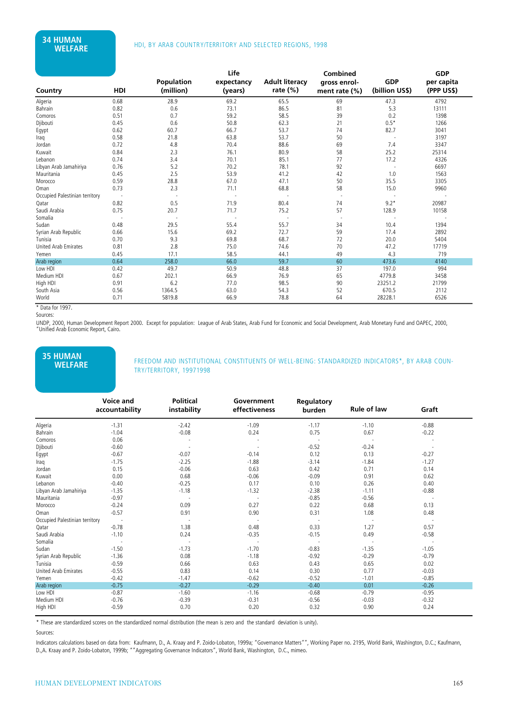|                                |      |                                | Life                  |                                   | Combined                         |                              | <b>GDP</b>               |
|--------------------------------|------|--------------------------------|-----------------------|-----------------------------------|----------------------------------|------------------------------|--------------------------|
| Country                        | HDI  | <b>Population</b><br>(million) | expectancy<br>(years) | <b>Adult literacy</b><br>rate (%) | gross enrol-<br>ment rate $(\%)$ | <b>GDP</b><br>(billion US\$) | per capita<br>(PPP US\$) |
| Algeria                        | 0.68 | 28.9                           | 69.2                  | 65.5                              | 69                               | 47.3                         | 4792                     |
| Bahrain                        | 0.82 | 0.6                            | 73.1                  | 86.5                              | 81                               | 5.3                          | 13111                    |
| Comoros                        | 0.51 | 0.7                            | 59.2                  | 58.5                              | 39                               | 0.2                          | 1398                     |
| Djibouti                       | 0.45 | 0.6                            | 50.8                  | 62.3                              | 21                               | $0.5*$                       | 1266                     |
| Egypt                          | 0.62 | 60.7                           | 66.7                  | 53.7                              | 74                               | 82.7                         | 3041                     |
| Iraq                           | 0.58 | 21.8                           | 63.8                  | 53.7                              | 50                               |                              | 3197                     |
| Jordan                         | 0.72 | 4.8                            | 70.4                  | 88.6                              | 69                               | 7.4                          | 3347                     |
| Kuwait                         | 0.84 | 2.3                            | 76.1                  | 80.9                              | 58                               | 25.2                         | 25314                    |
| Lebanon                        | 0.74 | 3.4                            | 70.1                  | 85.1                              | 77                               | 17.2                         | 4326                     |
| Libyan Arab Jamahiriya         | 0.76 | 5.2                            | 70.2                  | 78.1                              | 92                               |                              | 6697                     |
| Mauritania                     | 0.45 | 2.5                            | 53.9                  | 41.2                              | 42                               | 1.0                          | 1563                     |
| Morocco                        | 0.59 | 28.8                           | 67.0                  | 47.1                              | 50                               | 35.5                         | 3305                     |
| Oman                           | 0.73 | 2.3                            | 71.1                  | 68.8                              | 58                               | 15.0                         | 9960                     |
| Occupied Palestinian territory |      |                                |                       |                                   |                                  |                              |                          |
| Qatar                          | 0.82 | 0.5                            | 71.9                  | 80.4                              | 74                               | $9.2*$                       | 20987                    |
| Saudi Arabia                   | 0.75 | 20.7                           | 71.7                  | 75.2                              | 57                               | 128.9                        | 10158                    |
| Somalia                        |      |                                | $\sim$                |                                   |                                  |                              |                          |
| Sudan                          | 0.48 | 29.5                           | 55.4                  | 55.7                              | 34                               | 10.4                         | 1394                     |
| Syrian Arab Republic           | 0.66 | 15.6                           | 69.2                  | 72.7                              | 59                               | 17.4                         | 2892                     |
| Tunisia                        | 0.70 | 9.3                            | 69.8                  | 68.7                              | 72                               | 20.0                         | 5404                     |
| United Arab Emirates           | 0.81 | 2.8                            | 75.0                  | 74.6                              | 70                               | 47.2                         | 17719                    |
| Yemen                          | 0.45 | 17.1                           | 58.5                  | 44.1                              | 49                               | 4.3                          | 719                      |
| Arab region                    | 0.64 | 258.0                          | 66.0                  | 59.7                              | 60                               | 473.6                        | 4140                     |
| Low HDI                        | 0.42 | 49.7                           | 50.9                  | 48.8                              | 37                               | 197.0                        | 994                      |
| Medium HDI                     | 0.67 | 202.1                          | 66.9                  | 76.9                              | 65                               | 4779.8                       | 3458                     |
| High HDI                       | 0.91 | 6.2                            | 77.0                  | 98.5                              | 90                               | 23251.2                      | 21799                    |
| South Asia                     | 0.56 | 1364.5                         | 63.0                  | 54.3                              | 52                               | 670.5                        | 2112                     |
| World                          | 0.71 | 5819.8                         | 66.9                  | 78.8                              | 64                               | 28228.1                      | 6526                     |

\* Data for 1997. Sources:

UNDP, 2000, Human Development Report 2000. Except for population: League of Arab States, Arab Fund for Economic and Social Development, Arab Monetary Fund and OAPEC, 2000, "Unified Arab Economic Report, Cairo.

# **35 HUMAN**

FREEDOM AND INSTITUTIONAL CONSTITUENTS OF WELL-BEING: STANDARDIZED INDICATORS\*, BY ARAB COUN-TRY/TERRITORY, 19971998

|                                | Voice and<br>accountability | <b>Political</b><br>instability | Government<br>effectiveness | Regulatory<br>burden | <b>Rule of law</b> | Graft   |  |
|--------------------------------|-----------------------------|---------------------------------|-----------------------------|----------------------|--------------------|---------|--|
| Algeria                        | $-1.31$                     | $-2.42$                         | $-1.09$                     | $-1.17$              | $-1.10$            | $-0.88$ |  |
| Bahrain                        | $-1.04$                     | $-0.08$                         | 0.24                        | 0.75                 | 0.67               | $-0.22$ |  |
| Comoros                        | 0.06                        |                                 |                             |                      |                    |         |  |
| Djibouti                       | $-0.60$                     |                                 |                             | $-0.52$              | $-0.24$            |         |  |
| Egypt                          | $-0.67$                     | $-0.07$                         | $-0.14$                     | 0.12                 | 0.13               | $-0.27$ |  |
| Iraq                           | $-1.75$                     | $-2.25$                         | $-1.88$                     | $-3.14$              | $-1.84$            | $-1.27$ |  |
| Jordan                         | 0.15                        | $-0.06$                         | 0.63                        | 0.42                 | 0.71               | 0.14    |  |
| Kuwait                         | 0.00                        | 0.68                            | $-0.06$                     | $-0.09$              | 0.91               | 0.62    |  |
| Lebanon                        | $-0.40$                     | $-0.25$                         | 0.17                        | 0.10                 | 0.26               | 0.40    |  |
| Libyan Arab Jamahiriya         | $-1.35$                     | $-1.18$                         | $-1.32$                     | $-2.38$              | $-1.11$            | $-0.88$ |  |
| Mauritania                     | $-0.97$                     |                                 |                             | $-0.85$              | $-0.56$            | $\sim$  |  |
| Morocco                        | $-0.24$                     | 0.09                            | 0.27                        | 0.22                 | 0.68               | 0.13    |  |
| Oman                           | $-0.57$                     | 0.91                            | 0.90                        | 0.31                 | 1.08               | 0.48    |  |
| Occupied Palestinian territory |                             |                                 |                             |                      |                    |         |  |
| Qatar                          | $-0.78$                     | 1.38                            | 0.48                        | 0.33                 | 1.27               | 0.57    |  |
| Saudi Arabia                   | $-1.10$                     | 0.24                            | $-0.35$                     | $-0.15$              | 0.49               | $-0.58$ |  |
| Somalia                        |                             |                                 |                             |                      |                    |         |  |
| Sudan                          | $-1.50$                     | $-1.73$                         | $-1.70$                     | $-0.83$              | $-1.35$            | $-1.05$ |  |
| Syrian Arab Republic           | $-1.36$                     | 0.08                            | $-1.18$                     | $-0.92$              | $-0.29$            | $-0.79$ |  |
| Tunisia                        | $-0.59$                     | 0.66                            | 0.63                        | 0.43                 | 0.65               | 0.02    |  |
| United Arab Emirates           | $-0.55$                     | 0.83                            | 0.14                        | 0.30                 | 0.77               | $-0.03$ |  |
| Yemen                          | $-0.42$                     | $-1.47$                         | $-0.62$                     | $-0.52$              | $-1.01$            | $-0.85$ |  |
| Arab region                    | $-0.75$                     | $-0.27$                         | $-0.29$                     | $-0.40$              | 0.01               | $-0.26$ |  |
| Low HDI                        | $-0.87$                     | $-1.60$                         | $-1.16$                     | $-0.68$              | $-0.79$            | $-0.95$ |  |
| Medium HDI                     | $-0.76$                     | $-0.39$                         | $-0.31$                     | $-0.56$              | $-0.03$            | $-0.32$ |  |
| High HDI                       | $-0.59$                     | 0.70                            | 0.20                        | 0.32                 | 0.90               | 0.24    |  |

\* These are standardized scores on the standardized normal distribution (the mean is zero and the standard deviation is unity).

#### Sources:

Indicators calculations based on data from: Kaufmann, D., A. Kraay and P. Zoido-Lobaton, 1999a; "Governance Matters"", Working Paper no. 2195, World Bank, Washington, D.C.; Kaufmann, D.,A. Kraay and P. Zoido-Lobaton, 1999b; ""Aggregating Governance Indicators", World Bank, Washington, D.C., mimeo.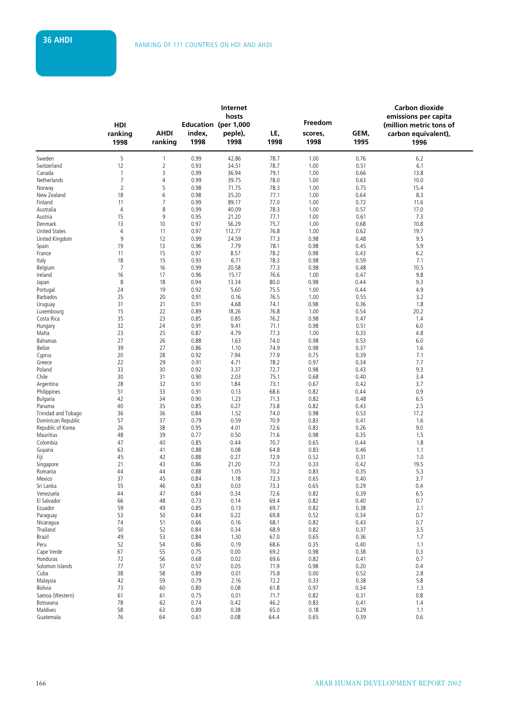|                            |                                |                        |                | Internet<br>hosts                       |              | Freedom         |              | Carbon dioxide<br>emissions per capita                 |
|----------------------------|--------------------------------|------------------------|----------------|-----------------------------------------|--------------|-----------------|--------------|--------------------------------------------------------|
|                            | HDI<br>ranking<br>1998         | <b>AHDI</b><br>ranking | index,<br>1998 | Education (per 1,000<br>peple),<br>1998 | LE,<br>1998  | scores,<br>1998 | GEM,<br>1995 | (million metric tons of<br>carbon equivalent),<br>1996 |
| Sweden                     | 5                              | $\mathbf{1}$           | 0.99           | 42.86                                   | 78.7         | 1.00            | 0.76         | 6.2                                                    |
| Switzerland                | 12                             | $\overline{2}$         | 0.93           | 34.51                                   | 78.7         | 1.00            | 0.51         | 6.1                                                    |
| Canada<br>Netherlands      | $\mathbf{1}$<br>$\overline{7}$ | 3<br>4                 | 0.99<br>0.99   | 36.94<br>39.75                          | 79.1<br>78.0 | 1.00<br>1.00    | 0.66<br>0.63 | 13.8<br>10.0                                           |
| Norway                     | $\overline{2}$                 | 5                      | 0.98           | 71.75                                   | 78.3         | 1.00            | 0.75         | 15.4                                                   |
| New Zealand                | 18                             | 6                      | 0.98           | 35.20                                   | 77.1         | 1.00            | 0.64         | 8.3                                                    |
| Finland                    | 11                             | 7                      | 0.99           | 89.17                                   | 77.0         | 1.00            | 0.72         | 11.6                                                   |
| Australia                  | 4                              | 8                      | 0.99           | 40.09                                   | 78.3         | 1.00            | 0.57         | 17.0                                                   |
| Austria                    | 15                             | 9                      | 0.95           | 21.20                                   | 77.1         | 1.00            | 0.61         | 7.3                                                    |
| Denmark                    | 13                             | 10                     | 0.97           | 56.29                                   | 75.7         | 1.00            | 0.68         | 10.8                                                   |
| <b>United States</b>       | $\overline{4}$                 | 11                     | 0.97           | 112.77                                  | 76.8         | 1.00            | 0.62         | 19.7                                                   |
| United Kingdom             | 9                              | 12                     | 0.99           | 24.59                                   | 77.3         | 0.98            | 0.48         | 9.5                                                    |
| Spain                      | 19                             | 13                     | 0.96           | 7.79                                    | 78.1         | 0.98            | 0.45         | 5.9                                                    |
| France                     | 11                             | 15                     | 0.97           | 8.57                                    | 78.2         | 0.98            | 0.43         | 6.2                                                    |
| Italy                      | 18                             | 15                     | 0.93           | 6.71                                    | 78.3         | 0.98            | 0.59         | 7.1                                                    |
| Belgium                    | $\overline{7}$                 | 16<br>17               | 0.99           | 20.58                                   | 77.3<br>76.6 | 0.98            | 0.48         | 10.5<br>9.8                                            |
| Ireland<br>Japan           | 16<br>8                        | 18                     | 0.96<br>0.94   | 15.17<br>13.34                          | 80.0         | 1.00<br>0.98    | 0.47<br>0.44 | 9.3                                                    |
| Portugal                   | 24                             | 19                     | 0.92           | 5.60                                    | 75.5         | 1.00            | 0.44         | 4.9                                                    |
| Barbados                   | 25                             | 20                     | 0.91           | 0.16                                    | 76.5         | 1.00            | 0.55         | 3.2                                                    |
| Uruguay                    | 31                             | 21                     | 0.91           | 4.68                                    | 74.1         | 0.98            | 0.36         | 1.8                                                    |
| Luxembourg                 | 15                             | 22                     | 0.89           | 18.26                                   | 76.8         | 1.00            | 0.54         | 20.2                                                   |
| Costa Rica                 | 35                             | 23                     | 0.85           | 0.85                                    | 76.2         | 0.98            | 0.47         | 1.4                                                    |
| Hungary                    | 32                             | 24                     | 0.91           | 9.41                                    | 71.1         | 0.98            | 0.51         | 6.0                                                    |
| Malta                      | 23                             | 25                     | 0.87           | 4.79                                    | 77.3         | 1.00            | 0.33         | 4.8                                                    |
| Bahamas                    | 27                             | 26                     | 0.88           | 1.63                                    | 74.0         | 0.98            | 0.53         | 6.0                                                    |
| Belize                     | 39                             | 27                     | 0.86           | 1.10                                    | 74.9         | 0.98            | 0.37         | 1.6                                                    |
| Cyprus                     | 20                             | 28                     | 0.92           | 7.94                                    | 77.9         | 0.75            | 0.39         | 7.1                                                    |
| Greece                     | 22                             | 29                     | 0.91           | 4.71                                    | 78.2         | 0.97            | 0.34         | 7.7                                                    |
| Poland                     | 33                             | 30                     | 0.92           | 3.37                                    | 72.7         | 0.98            | 0.43         | 9.3                                                    |
| Chile                      | 30                             | 31                     | 0.90           | 2.03                                    | 75.1         | 0.68            | 0.40         | 3.4                                                    |
| Argentina<br>Philippines   | 28<br>51                       | 32<br>33               | 0.91<br>0.91   | 1.84<br>0.13                            | 73.1<br>68.6 | 0.67<br>0.82    | 0.42<br>0.44 | 3.7<br>0.9                                             |
| <b>Bulgaria</b>            | 42                             | 34                     | 0.90           | 1.23                                    | 71.3         | 0.82            | 0.48         | 6.5                                                    |
| Panama                     | 40                             | 35                     | 0.85           | 0.27                                    | 73.8         | 0.82            | 0.43         | 2.5                                                    |
| Trinidad and Tobago        | 36                             | 36                     | 0.84           | 1.52                                    | 74.0         | 0.98            | 0.53         | 17.2                                                   |
| Dominican Republic         | 57                             | 37                     | 0.79           | 0.59                                    | 70.9         | 0.83            | 0.41         | 1.6                                                    |
| Republic of Korea          | 26                             | 38                     | 0.95           | 4.01                                    | 72.6         | 0.83            | 0.26         | 9.0                                                    |
| Mauritius                  | 48                             | 39                     | 0.77           | 0.50                                    | 71.6         | 0.98            | 0.35         | 1.5                                                    |
| Colombia                   | 47                             | 40                     | 0.85           | 0.44                                    | 70.7         | 0.65            | 0.44         | 1.8                                                    |
| Guyana                     | 63                             | 41                     | 0.88           | 0.08                                    | 64.8         | 0.83            | 0.46         | 1.1                                                    |
| Fiji                       | 45                             | 42                     | 0.88           | 0.27                                    | 72.9         | 0.52            | 0.31         | 1.0                                                    |
| Singapore                  | 21                             | 43                     | 0.86           | 21.20                                   | 77.3         | 0.33            | 0.42         | 19.5                                                   |
| Romania                    | 44<br>37                       | 44<br>45               | 0.88<br>0.84   | 1.05                                    | 70.2         | 0.83            | 0.35         | 5.3<br>3.7                                             |
| Mexico<br>Sri Lanka        | 55                             | 46                     | 0.83           | 1.18<br>0.03                            | 72.3<br>73.3 | 0.65<br>0.65    | 0.40<br>0.29 | 0.4                                                    |
| Venezuela                  | 44                             | 47                     | 0.84           | 0.34                                    | 72.6         | 0.82            | 0.39         | 6.5                                                    |
| El Salvador                | 66                             | 48                     | 0.73           | 0.14                                    | 69.4         | 0.82            | 0.40         | 0.7                                                    |
| Ecuador                    | 59                             | 49                     | 0.85           | 0.13                                    | 69.7         | 0.82            | 0.38         | 2.1                                                    |
| Paraguay                   | 53                             | 50                     | 0.84           | 0.22                                    | 69.8         | 0.52            | 0.34         | 0.7                                                    |
| Nicaragua                  | 74                             | 51                     | 0.66           | 0.16                                    | 68.1         | 0.82            | 0.43         | 0.7                                                    |
| Thailand                   | 50                             | 52                     | 0.84           | 0.34                                    | 68.9         | 0.82            | 0.37         | 3.5                                                    |
| Brazil                     | 49                             | 53                     | 0.84           | 1.30                                    | 67.0         | 0.65            | 0.36         | 1.7                                                    |
| Peru                       | 52                             | 54                     | 0.86           | 0.19                                    | 68.6         | 0.35            | 0.40         | 1.1                                                    |
| Cape Verde                 | 67                             | 55                     | 0.75           | 0.00                                    | 69.2         | 0.98            | 0.38         | 0.3                                                    |
| Honduras                   | 72                             | 56                     | 0.68           | 0.02                                    | 69.6         | 0.82            | 0.41         | 0.7                                                    |
| Solomon Islands            | 77                             | 57                     | 0.57           | 0.05                                    | 71.9         | 0.98            | 0.20         | 0.4                                                    |
| Cuba                       | 38                             | 58                     | 0.89           | 0.01                                    | 75.8         | 0.00            | 0.52         | 2.8                                                    |
| Malaysia                   | 42                             | 59                     | 0.79           | 2.16                                    | 72.2         | 0.33            | 0.38         | 5.8                                                    |
| Bolivia<br>Samoa (Western) | 73<br>61                       | 60<br>61               | 0.80<br>0.75   | 0.08<br>0.01                            | 61.8<br>71.7 | 0.97<br>0.82    | 0.34<br>0.31 | 1.3<br>0.8                                             |
| Botswana                   | 78                             | 62                     | 0.74           | 0.42                                    | 46.2         | 0.83            | 0.41         | 1.4                                                    |
| Maldives                   | 58                             | 63                     | 0.89           | 0.38                                    | 65.0         | 0.18            | 0.29         | 1.1                                                    |
| Guatemala                  | 76                             | 64                     | 0.61           | 0.08                                    | 64.4         | 0.65            | 0.39         | 0.6                                                    |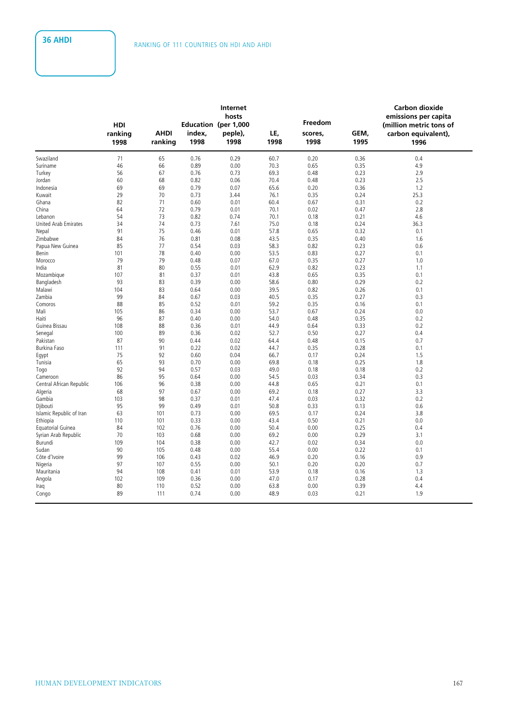|                             |            |             |                      | Internet<br>hosts |              |              |              | <b>Carbon dioxide</b><br>emissions per capita |  |
|-----------------------------|------------|-------------|----------------------|-------------------|--------------|--------------|--------------|-----------------------------------------------|--|
|                             | <b>HDI</b> |             | Education (per 1,000 |                   |              | Freedom      |              | (million metric tons of                       |  |
|                             | ranking    | <b>AHDI</b> | index,               | peple),           | LE,          | scores,      | GEM,         | carbon equivalent),                           |  |
|                             | 1998       | ranking     | 1998                 | 1998              | 1998         | 1998         | 1995         | 1996                                          |  |
| Swaziland                   | 71         | 65          | 0.76                 | 0.29              | 60.7         | 0.20         | 0.36         | 0.4                                           |  |
| Suriname                    | 46         | 66          | 0.89                 | 0.00              | 70.3         | 0.65         | 0.35         | 4.9                                           |  |
| Turkey                      | 56         | 67          | 0.76                 | 0.73              | 69.3         | 0.48         | 0.23         | 2.9                                           |  |
| Jordan                      | 60         | 68          | 0.82                 | 0.06              | 70.4         | 0.48         | 0.23         | 2.5                                           |  |
| Indonesia                   | 69         | 69          | 0.79                 | 0.07              | 65.6         | 0.20         | 0.36         | 1.2                                           |  |
| Kuwait                      | 29         | 70          | 0.73                 | 3.44              | 76.1         | 0.35         | 0.24         | 25.3                                          |  |
| Ghana                       | 82         | 71          | 0.60                 | 0.01              | 60.4         | 0.67         | 0.31         | 0.2                                           |  |
| China                       | 64         | 72          | 0.79                 | 0.01              | 70.1         | 0.02         | 0.47         | 2.8                                           |  |
| Lebanon                     | 54         | 73          | 0.82                 | 0.74              | 70.1         | 0.18         | 0.21         | 4.6                                           |  |
| <b>United Arab Emirates</b> | 34         | 74          | 0.73                 | 7.61              | 75.0         | 0.18         | 0.24         | 36.3                                          |  |
| Nepal                       | 91         | 75          | 0.46                 | 0.01              | 57.8         | 0.65         | 0.32         | 0.1                                           |  |
| Zimbabwe                    | 84         | 76          | 0.81                 | 0.08              | 43.5         | 0.35         | 0.40         | 1.6                                           |  |
| Papua New Guinea            | 85         | 77          | 0.54                 | 0.03              | 58.3         | 0.82         | 0.23         | 0.6                                           |  |
| Benin                       | 101        | 78          | 0.40                 | 0.00              | 53.5         | 0.83         | 0.27         | 0.1                                           |  |
| Morocco                     | 79         | 79          | 0.48                 | 0.07              | 67.0         | 0.35         | 0.27         | 1.0                                           |  |
| India                       | 81         | 80          | 0.55                 | 0.01              | 62.9         | 0.82         | 0.23         | 1.1                                           |  |
| Mozambique                  | 107        | 81          | 0.37                 | 0.01              | 43.8         | 0.65         | 0.35         | 0.1                                           |  |
| Bangladesh                  | 93         | 83          | 0.39                 | 0.00              | 58.6         | 0.80         | 0.29         | 0.2                                           |  |
| Malawi                      | 104        | 83          | 0.64                 | 0.00              | 39.5         | 0.82         | 0.26         | 0.1                                           |  |
| Zambia                      | 99<br>88   | 84<br>85    | 0.67<br>0.52         | 0.03<br>0.01      | 40.5<br>59.2 | 0.35<br>0.35 | 0.27<br>0.16 | 0.3<br>0.1                                    |  |
| Comoros                     | 105        | 86          |                      |                   |              | 0.67         | 0.24         | 0.0                                           |  |
| Mali                        | 96         | 87          | 0.34<br>0.40         | 0.00<br>0.00      | 53.7<br>54.0 | 0.48         | 0.35         | 0.2                                           |  |
| Haiti<br>Guinea Bissau      | 108        | 88          | 0.36                 | 0.01              | 44.9         | 0.64         | 0.33         | 0.2                                           |  |
| Senegal                     | 100        | 89          | 0.36                 | 0.02              | 52.7         | 0.50         | 0.27         | 0.4                                           |  |
| Pakistan                    | 87         | 90          | 0.44                 | 0.02              | 64.4         | 0.48         | 0.15         | 0.7                                           |  |
| Burkina Faso                | 111        | 91          | 0.22                 | 0.02              | 44.7         | 0.35         | 0.28         | 0.1                                           |  |
| Egypt                       | 75         | 92          | 0.60                 | 0.04              | 66.7         | 0.17         | 0.24         | 1.5                                           |  |
| Tunisia                     | 65         | 93          | 0.70                 | 0.00              | 69.8         | 0.18         | 0.25         | 1.8                                           |  |
| Togo                        | 92         | 94          | 0.57                 | 0.03              | 49.0         | 0.18         | 0.18         | 0.2                                           |  |
| Cameroon                    | 86         | 95          | 0.64                 | 0.00              | 54.5         | 0.03         | 0.34         | 0.3                                           |  |
| Central African Republic    | 106        | 96          | 0.38                 | 0.00              | 44.8         | 0.65         | 0.21         | 0.1                                           |  |
| Algeria                     | 68         | 97          | 0.67                 | 0.00              | 69.2         | 0.18         | 0.27         | 3.3                                           |  |
| Gambia                      | 103        | 98          | 0.37                 | 0.01              | 47.4         | 0.03         | 0.32         | 0.2                                           |  |
| Djibouti                    | 95         | 99          | 0.49                 | 0.01              | 50.8         | 0.33         | 0.13         | 0.6                                           |  |
| Islamic Republic of Iran    | 63         | 101         | 0.73                 | 0.00              | 69.5         | 0.17         | 0.24         | 3.8                                           |  |
| Ethiopia                    | 110        | 101         | 0.33                 | 0.00              | 43.4         | 0.50         | 0.21         | 0.0                                           |  |
| Equatorial Guinea           | 84         | 102         | 0.76                 | 0.00              | 50.4         | 0.00         | 0.25         | 0.4                                           |  |
| Syrian Arab Republic        | 70         | 103         | 0.68                 | 0.00              | 69.2         | 0.00         | 0.29         | 3.1                                           |  |
| Burundi                     | 109        | 104         | 0.38                 | 0.00              | 42.7         | 0.02         | 0.34         | 0.0                                           |  |
| Sudan                       | 90         | 105         | 0.48                 | 0.00              | 55.4         | 0.00         | 0.22         | 0.1                                           |  |
| Côte d'Ivoire               | 99         | 106         | 0.43                 | 0.02              | 46.9         | 0.20         | 0.16         | 0.9                                           |  |
| Nigeria                     | 97         | 107         | 0.55                 | 0.00              | 50.1         | 0.20         | 0.20         | 0.7                                           |  |
| Mauritania                  | 94         | 108         | 0.41                 | 0.01              | 53.9         | 0.18         | 0.16         | 1.3                                           |  |
| Angola                      | 102        | 109         | 0.36                 | 0.00              | 47.0         | 0.17         | 0.28         | 0.4                                           |  |
| Iraq                        |            |             |                      |                   |              |              |              |                                               |  |
|                             | 80         | 110         | 0.52                 | 0.00              | 63.8         | 0.00         | 0.39         | 4.4                                           |  |